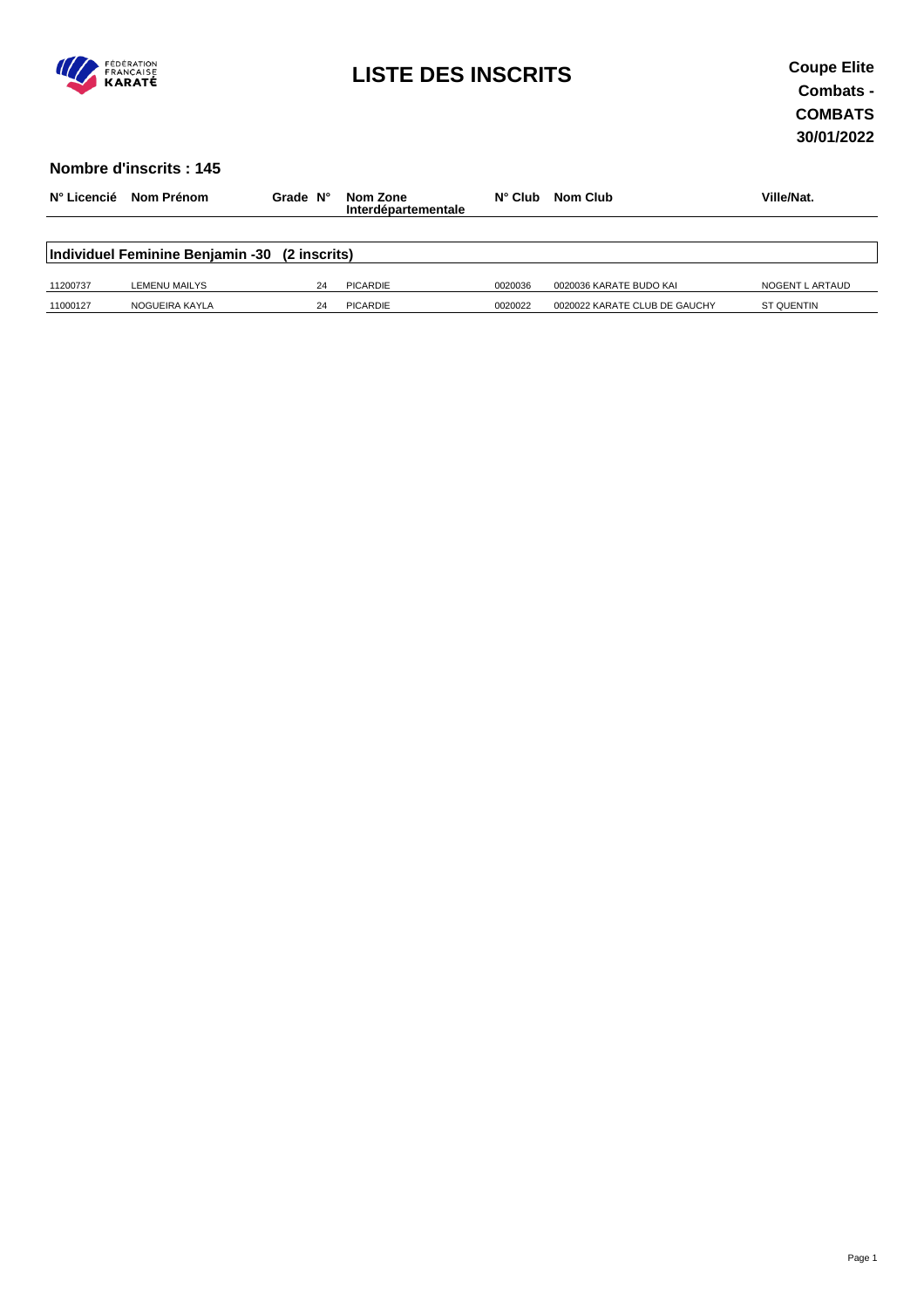

# **LISTE DES INSCRITS Coupe Elite**

#### **Nombre d'inscrits : 145**

| N° Licencié | Nom Prénom                                    | Grade N° | Nom Zone<br>Interdépartementale | $N^{\circ}$ Club | <b>Nom Club</b>               | Ville/Nat.        |
|-------------|-----------------------------------------------|----------|---------------------------------|------------------|-------------------------------|-------------------|
|             | Individuel Feminine Benjamin -30 (2 inscrits) |          |                                 |                  |                               |                   |
| 11200737    | LEMENU MAILYS                                 | 24       | <b>PICARDIE</b>                 | 0020036          | 0020036 KARATE BUDO KAI       | NOGENT L ARTAUD   |
| 11000127    | NOGUEIRA KAYLA                                | 24       | PICARDIE                        | 0020022          | 0020022 KARATE CLUB DE GAUCHY | <b>ST QUENTIN</b> |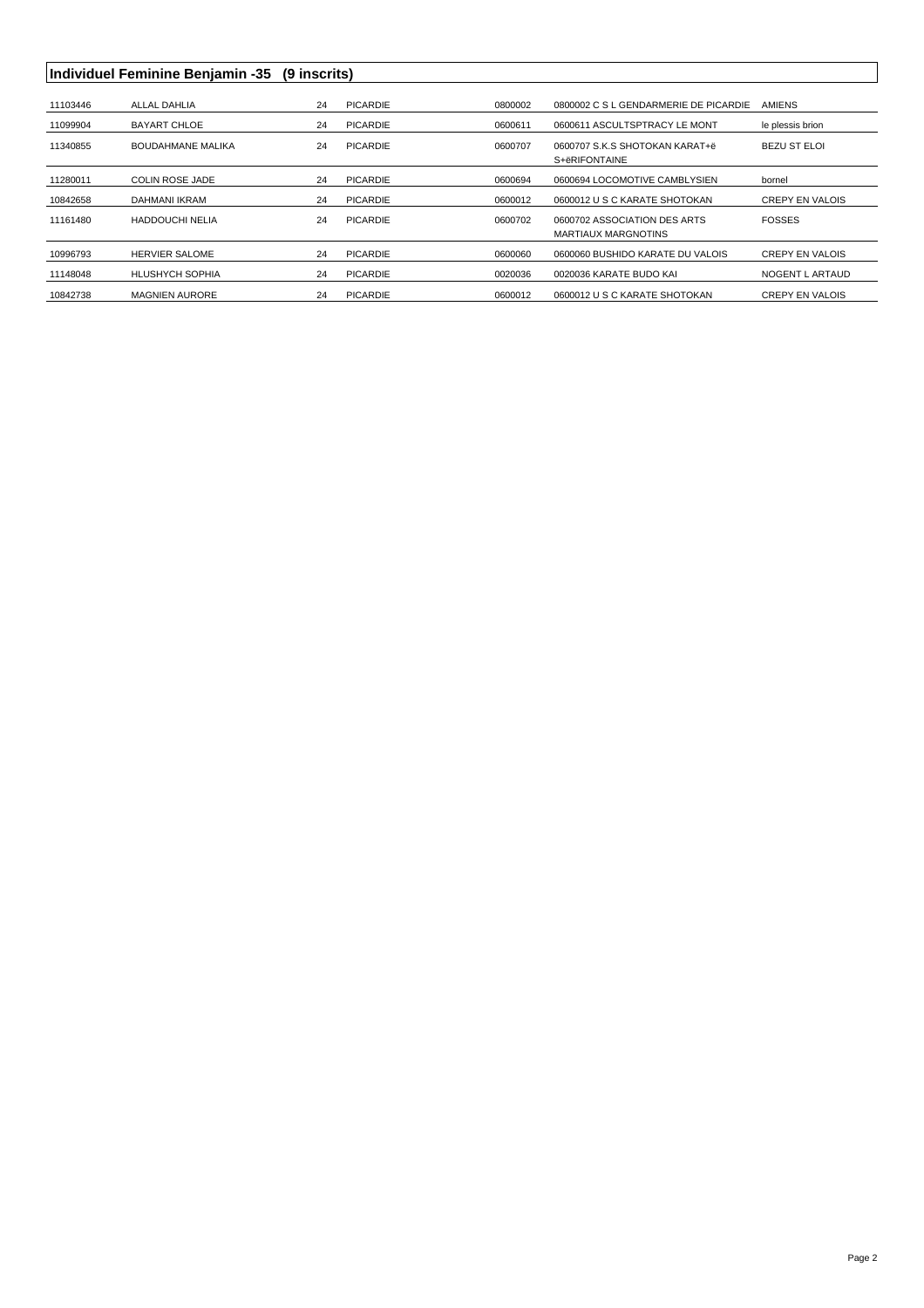## Individuel Feminine Benjamin -35 (9 inscrits)

| 11103446 | ALLAL DAHLIA             | 24 | <b>PICARDIE</b> | 0800002 | 0800002 C S L GENDARMERIE DE PICARDIE               | <b>AMIENS</b>          |
|----------|--------------------------|----|-----------------|---------|-----------------------------------------------------|------------------------|
| 11099904 | <b>BAYART CHLOE</b>      | 24 | <b>PICARDIE</b> | 0600611 | 0600611 ASCULTSPTRACY LE MONT                       | le plessis brion       |
| 11340855 | <b>BOUDAHMANE MALIKA</b> | 24 | <b>PICARDIE</b> | 0600707 | 0600707 S.K.S SHOTOKAN KARAT+ë<br>S+ëRIFONTAINE     | <b>BEZU ST ELOI</b>    |
| 11280011 | COLIN ROSE JADE          | 24 | <b>PICARDIE</b> | 0600694 | 0600694 LOCOMOTIVE CAMBLYSIEN                       | bornel                 |
| 10842658 | DAHMANI IKRAM            | 24 | <b>PICARDIE</b> | 0600012 | 0600012 U S C KARATE SHOTOKAN                       | <b>CREPY EN VALOIS</b> |
| 11161480 | <b>HADDOUCHI NELIA</b>   | 24 | <b>PICARDIE</b> | 0600702 | 0600702 ASSOCIATION DES ARTS<br>MARTIAUX MARGNOTINS | <b>FOSSES</b>          |
| 10996793 | <b>HERVIER SALOME</b>    | 24 | PICARDIE        | 0600060 | 0600060 BUSHIDO KARATE DU VALOIS                    | <b>CREPY EN VALOIS</b> |
| 11148048 | <b>HLUSHYCH SOPHIA</b>   | 24 | <b>PICARDIE</b> | 0020036 | 0020036 KARATE BUDO KAL                             | NOGENT L ARTAUD        |
| 10842738 | <b>MAGNIEN AURORE</b>    | 24 | PICARDIE        | 0600012 | 0600012 U S C KARATE SHOTOKAN                       | <b>CREPY EN VALOIS</b> |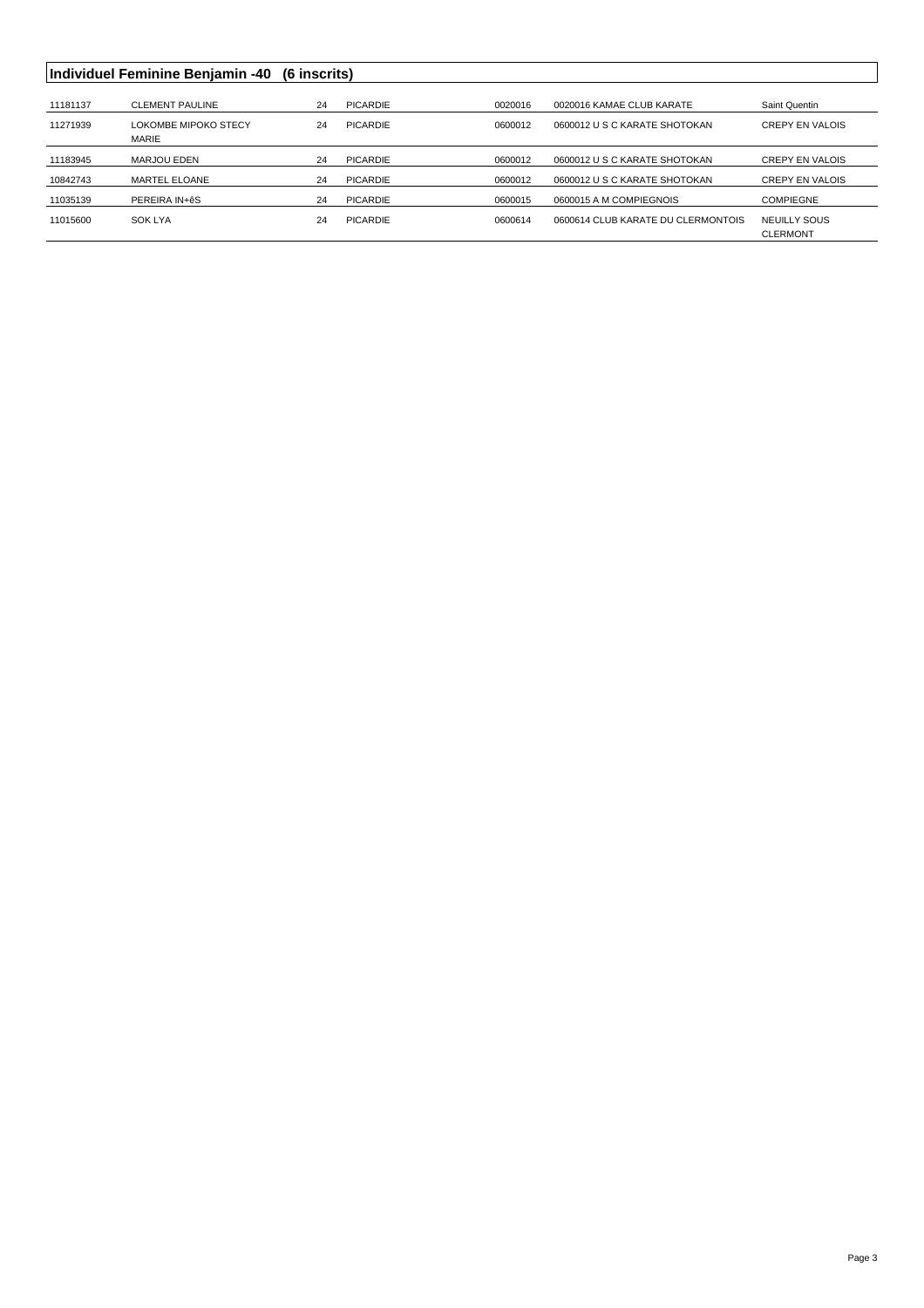|          | Individuel Feminine Benjamin -40     | (6 inscrits) |                 |         |                                    |                                 |
|----------|--------------------------------------|--------------|-----------------|---------|------------------------------------|---------------------------------|
| 11181137 | <b>CLEMENT PAULINE</b>               | 24           | <b>PICARDIE</b> | 0020016 | 0020016 KAMAE CLUB KARATE          | Saint Quentin                   |
| 11271939 | LOKOMBE MIPOKO STECY<br><b>MARIE</b> | 24           | PICARDIE        | 0600012 | 0600012 U S C KARATE SHOTOKAN      | <b>CREPY EN VALOIS</b>          |
| 11183945 | MARJOU EDEN                          | 24           | <b>PICARDIE</b> | 0600012 | 0600012 U S C KARATE SHOTOKAN      | <b>CREPY EN VALOIS</b>          |
| 10842743 | MARTEL ELOANE                        | 24           | <b>PICARDIE</b> | 0600012 | 0600012 U S C KARATE SHOTOKAN      | <b>CREPY EN VALOIS</b>          |
| 11035139 | PEREIRA IN+êS                        | 24           | PICARDIE        | 0600015 | 0600015 A M COMPIEGNOIS            | <b>COMPIEGNE</b>                |
| 11015600 | <b>SOK LYA</b>                       | 24           | <b>PICARDIE</b> | 0600614 | 0600614 CLUB KARATE DU CLERMONTOIS | NEUILLY SOUS<br><b>CLERMONT</b> |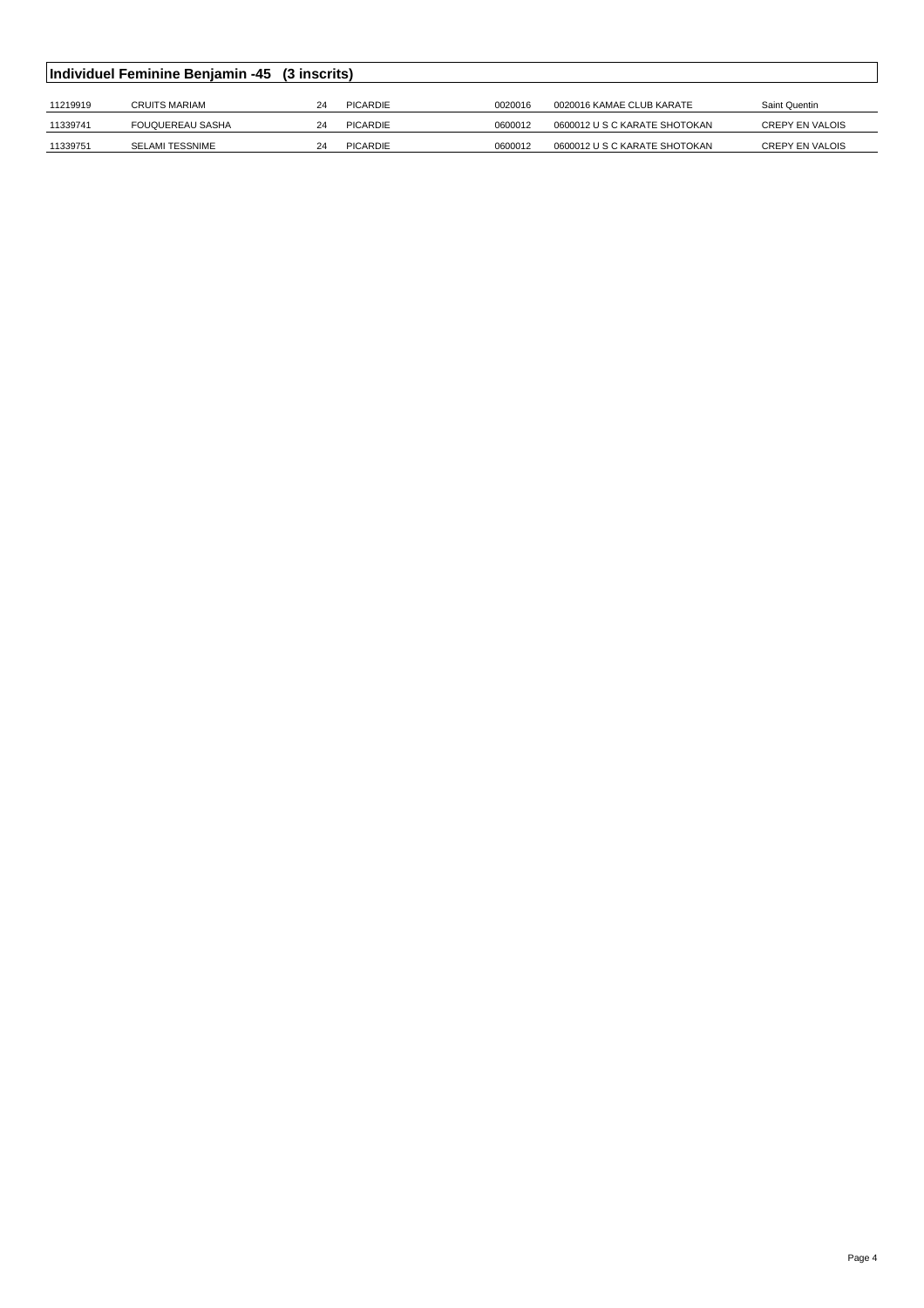| Individuel Feminine Benjamin -45 (3 inscrits) |                         |    |          |         |                               |                        |  |  |  |
|-----------------------------------------------|-------------------------|----|----------|---------|-------------------------------|------------------------|--|--|--|
|                                               |                         |    |          |         |                               |                        |  |  |  |
| 11219919                                      | CRUITS MARIAM           | 24 | PICARDIE | 0020016 | 0020016 KAMAE CLUB KARATE     | Saint Quentin          |  |  |  |
| 11339741                                      | <b>FOUQUEREAU SASHA</b> | 24 | PICARDIE | 0600012 | 0600012 U S C KARATE SHOTOKAN | <b>CREPY EN VALOIS</b> |  |  |  |
| 11339751                                      | <b>SELAMI TESSNIME</b>  | 24 | PICARDIE | 0600012 | 0600012 U S C KARATE SHOTOKAN | <b>CREPY EN VALOIS</b> |  |  |  |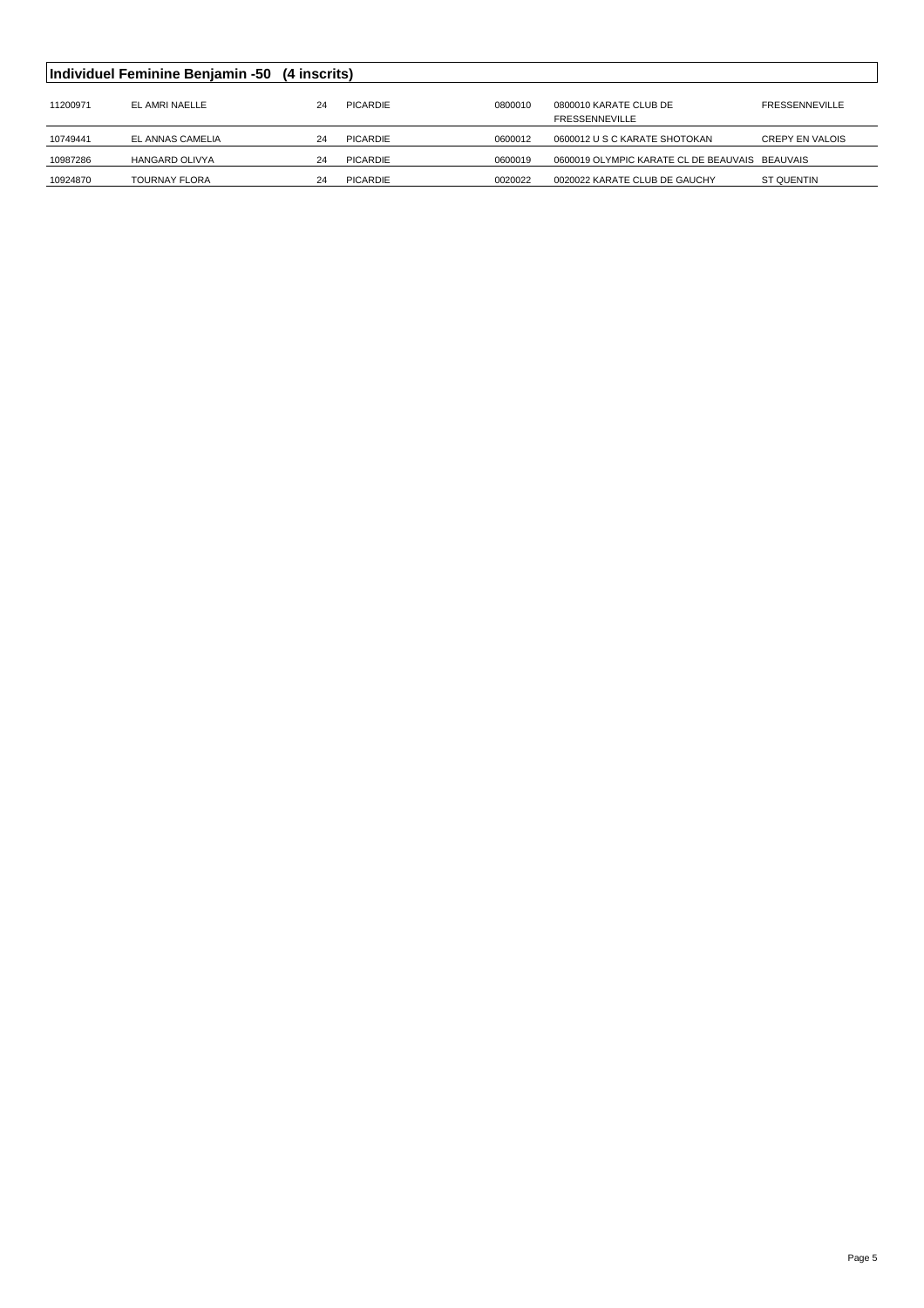| Individuel Feminine Benjamin -50 (4 inscrits) |                       |    |          |         |                                                 |                       |  |
|-----------------------------------------------|-----------------------|----|----------|---------|-------------------------------------------------|-----------------------|--|
| 11200971                                      | EL AMRI NAELLE        | 24 | PICARDIE | 0800010 | 0800010 KARATE CLUB DE<br><b>FRESSENNEVILLE</b> | <b>FRESSENNEVILLE</b> |  |
| 10749441                                      | EL ANNAS CAMELIA      | 24 | PICARDIE | 0600012 | 0600012 U S C KARATE SHOTOKAN                   | CREPY EN VALOIS       |  |
| 10987286                                      | <b>HANGARD OLIVYA</b> | 24 | PICARDIE | 0600019 | 0600019 OLYMPIC KARATE CL DE BEAUVAIS BEAUVAIS  |                       |  |
| 10924870                                      | <b>TOURNAY FLORA</b>  | 24 | PICARDIE | 0020022 | 0020022 KARATE CLUB DE GAUCHY                   | ST QUENTIN            |  |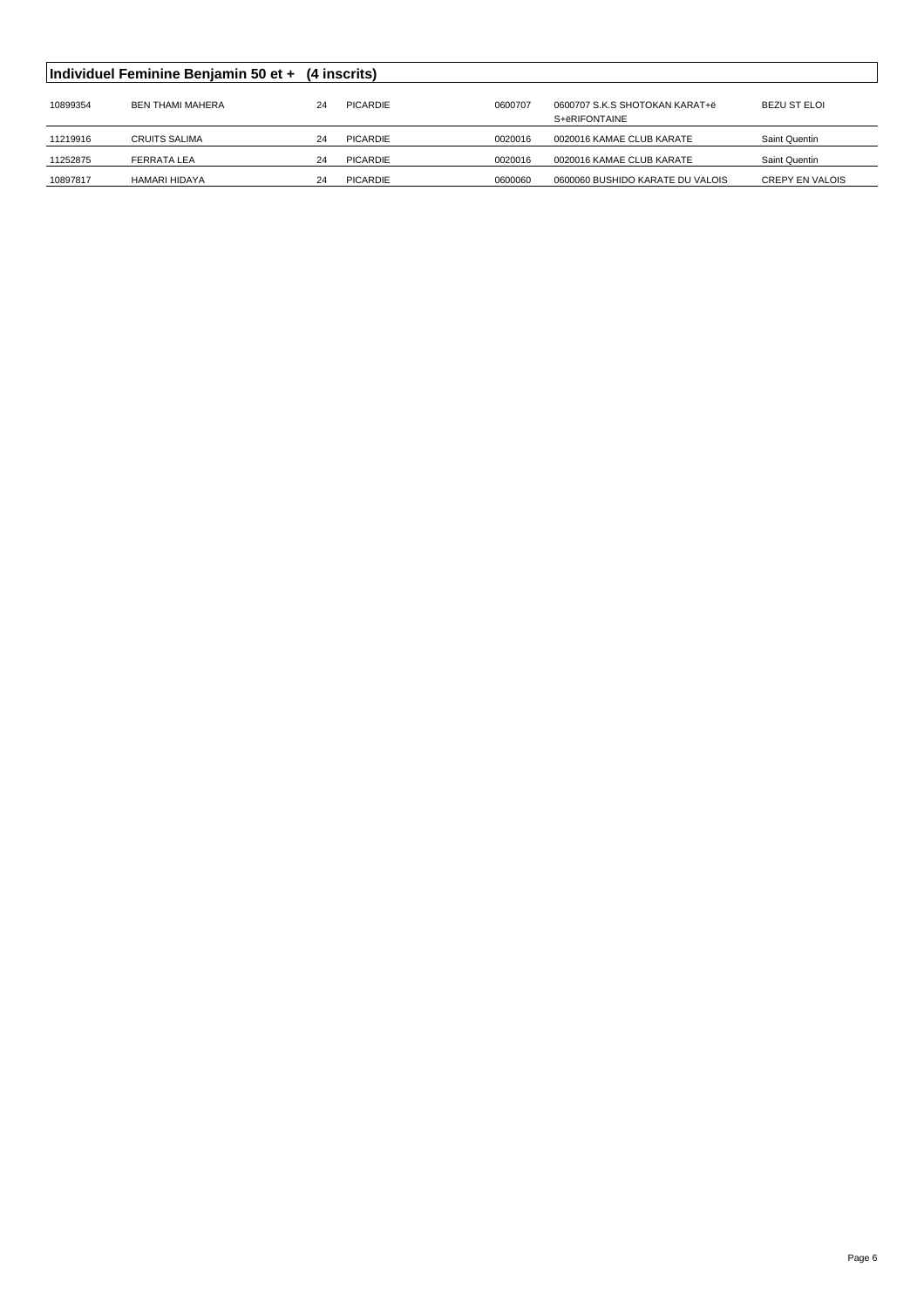|          | Individuel Feminine Benjamin 50 et + (4 inscrits) |    |                 |         |                                                 |                        |
|----------|---------------------------------------------------|----|-----------------|---------|-------------------------------------------------|------------------------|
| 10899354 | <b>BEN THAMI MAHERA</b>                           | 24 | <b>PICARDIE</b> | 0600707 | 0600707 S.K.S SHOTOKAN KARAT+ë<br>S+ëRIFONTAINE | <b>BEZU ST ELOI</b>    |
| 11219916 | <b>CRUITS SALIMA</b>                              | 24 | PICARDIE        | 0020016 | 0020016 KAMAE CLUB KARATE                       | Saint Quentin          |
| 11252875 | <b>FERRATA LEA</b>                                | 24 | PICARDIE        | 0020016 | 0020016 KAMAE CLUB KARATE                       | Saint Quentin          |
| 10897817 | HAMARI HIDAYA                                     | 24 | PICARDIE        | 0600060 | 0600060 BUSHIDO KARATE DU VALOIS                | <b>CREPY EN VALOIS</b> |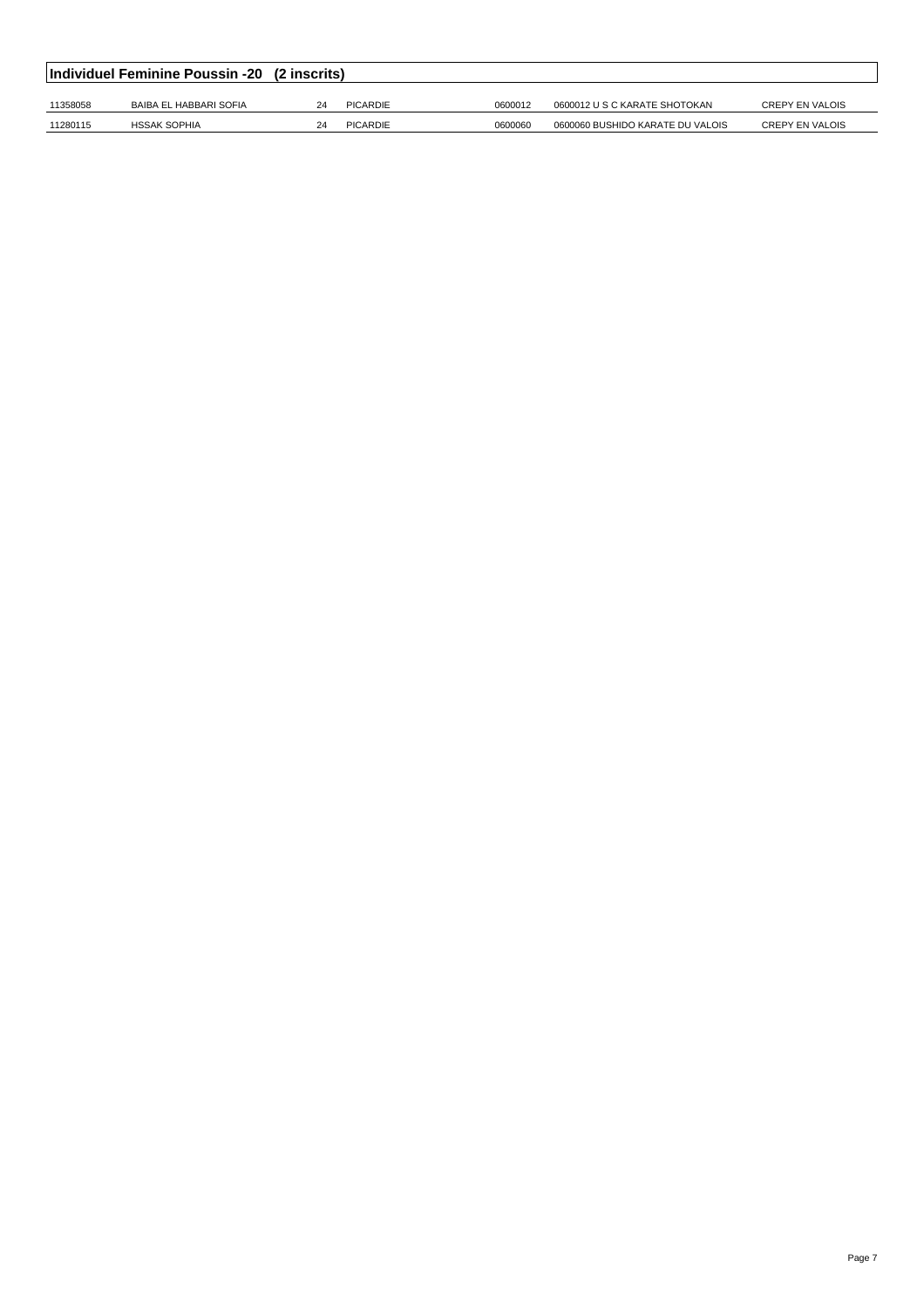|          | Individuel Feminine Poussin -20 (2 inscrits) |    |          |         |                                  |                        |
|----------|----------------------------------------------|----|----------|---------|----------------------------------|------------------------|
| 11358058 | BAIBA EL HABBARI SOFIA                       | 24 | PICARDIE | 0600012 | 0600012 U S C KARATE SHOTOKAN    | <b>CREPY EN VALOIS</b> |
| 11280115 | <b>HSSAK SOPHIA</b>                          | 24 | PICARDIE | 0600060 | 0600060 BUSHIDO KARATE DU VALOIS | <b>CREPY EN VALOIS</b> |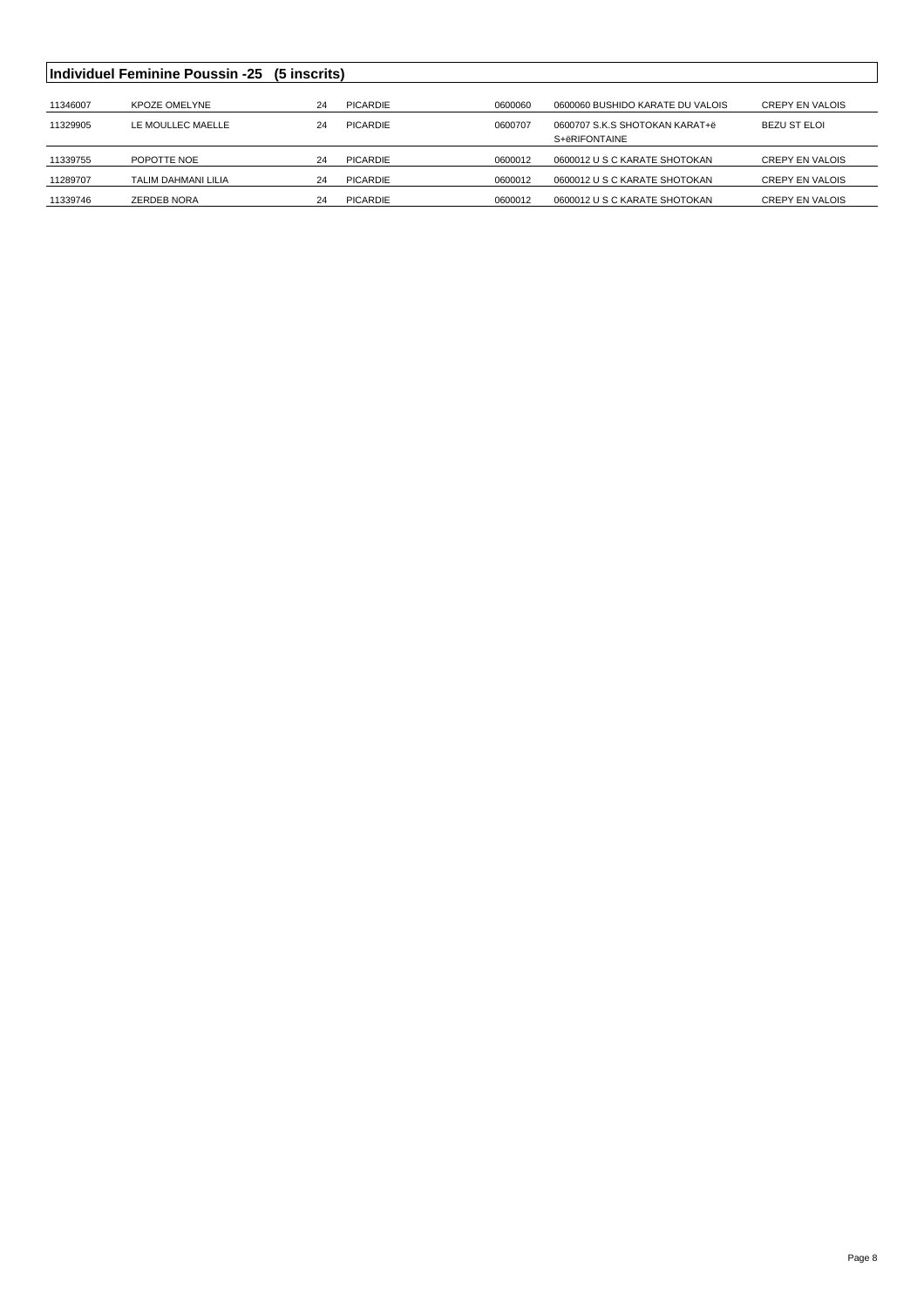|          | <b>Individuel Feminine Poussin -25 (5 inscrits)</b> |    |                 |         |                                  |                        |
|----------|-----------------------------------------------------|----|-----------------|---------|----------------------------------|------------------------|
|          |                                                     |    |                 |         |                                  |                        |
| 11346007 | <b>KPOZE OMELYNE</b>                                | 24 | <b>PICARDIE</b> | 0600060 | 0600060 BUSHIDO KARATE DU VALOIS | <b>CREPY EN VALOIS</b> |
| 11329905 | LE MOULLEC MAELLE                                   | 24 | PICARDIE        | 0600707 | 0600707 S.K.S SHOTOKAN KARAT+ë   | <b>BEZU ST ELOI</b>    |
|          |                                                     |    |                 |         | S+ëRIFONTAINE                    |                        |
| 11339755 | POPOTTE NOE                                         | 24 | PICARDIE        | 0600012 | 0600012 U S C KARATE SHOTOKAN    | <b>CREPY EN VALOIS</b> |
| 11289707 | TALIM DAHMANI LILIA                                 | 24 | PICARDIE        | 0600012 | 0600012 U S C KARATE SHOTOKAN    | <b>CREPY EN VALOIS</b> |
| 11339746 | ZERDEB NORA                                         | 24 | PICARDIE        | 0600012 | 0600012 U S C KARATE SHOTOKAN    | <b>CREPY EN VALOIS</b> |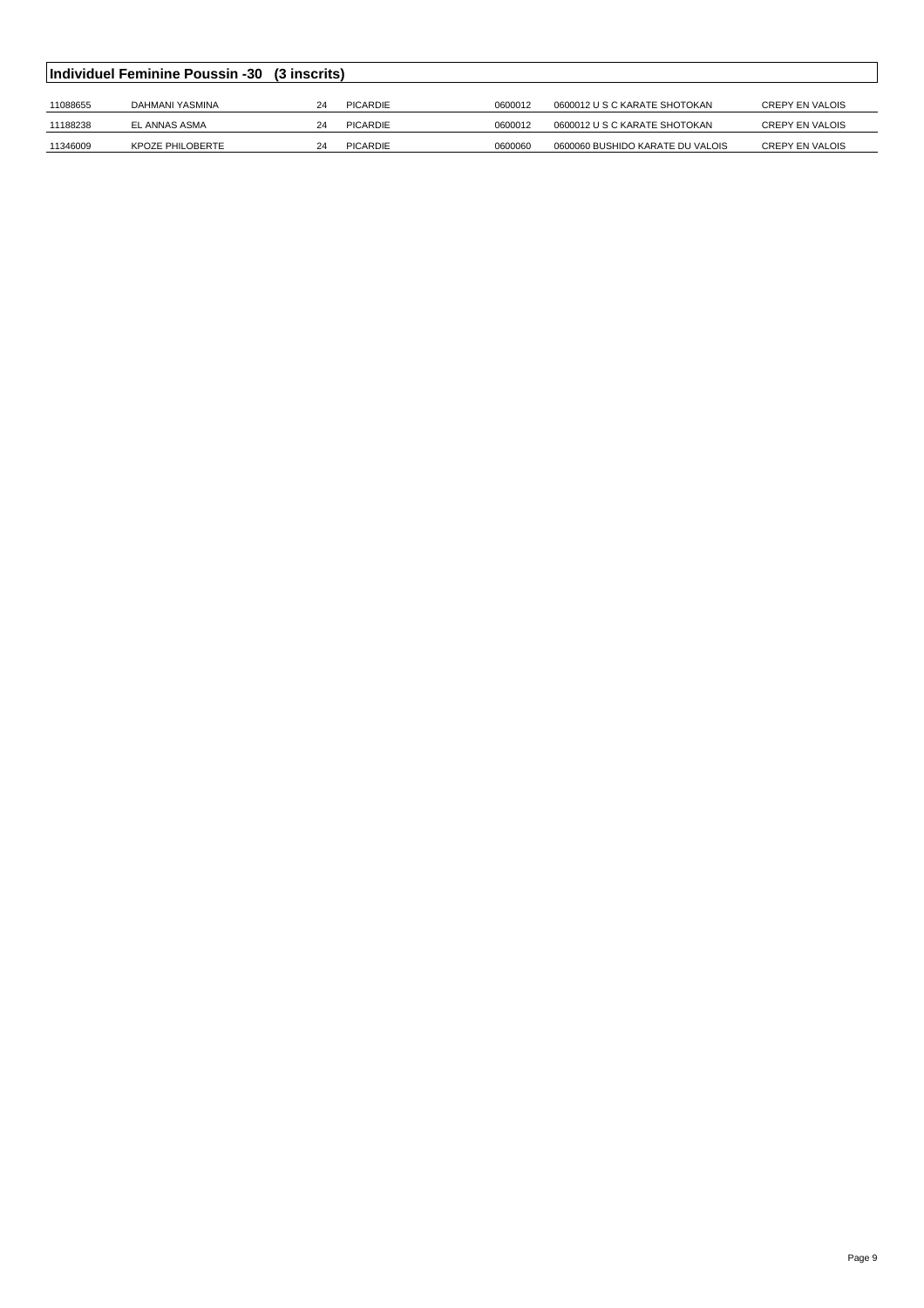|          | Individuel Feminine Poussin -30 (3 inscrits) |    |          |         |                                  |                        |  |  |
|----------|----------------------------------------------|----|----------|---------|----------------------------------|------------------------|--|--|
|          |                                              |    |          |         |                                  |                        |  |  |
| 11088655 | DAHMANI YASMINA                              | 24 | PICARDIE | 0600012 | 0600012 U S C KARATE SHOTOKAN    | <b>CREPY EN VALOIS</b> |  |  |
| 11188238 | EL ANNAS ASMA                                | 24 | PICARDIE | 0600012 | 0600012 U S C KARATE SHOTOKAN    | <b>CREPY EN VALOIS</b> |  |  |
| 11346009 | KPOZE PHILOBERTE                             | 24 | PICARDIE | 0600060 | 0600060 BUSHIDO KARATE DU VALOIS | CREPY EN VALOIS        |  |  |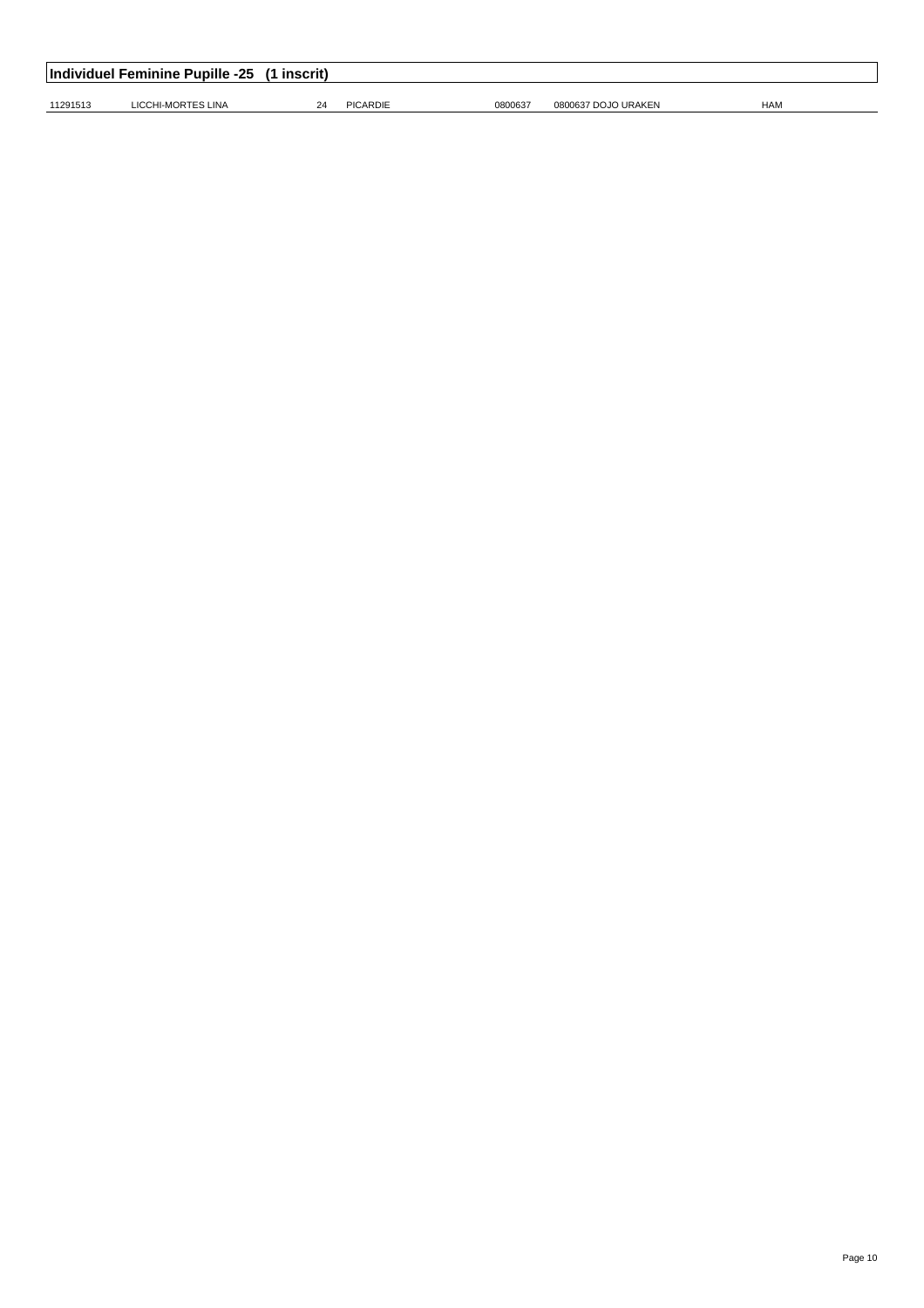|          | Individuel Feminine Pupille -25 (1 inscrit) |    |                 |         |                     |            |  |  |  |
|----------|---------------------------------------------|----|-----------------|---------|---------------------|------------|--|--|--|
| 11291513 | LICCHI-MORTES LINA                          | 24 | <b>PICARDIE</b> | 0800637 | 0800637 DOJO URAKEN | <b>HAM</b> |  |  |  |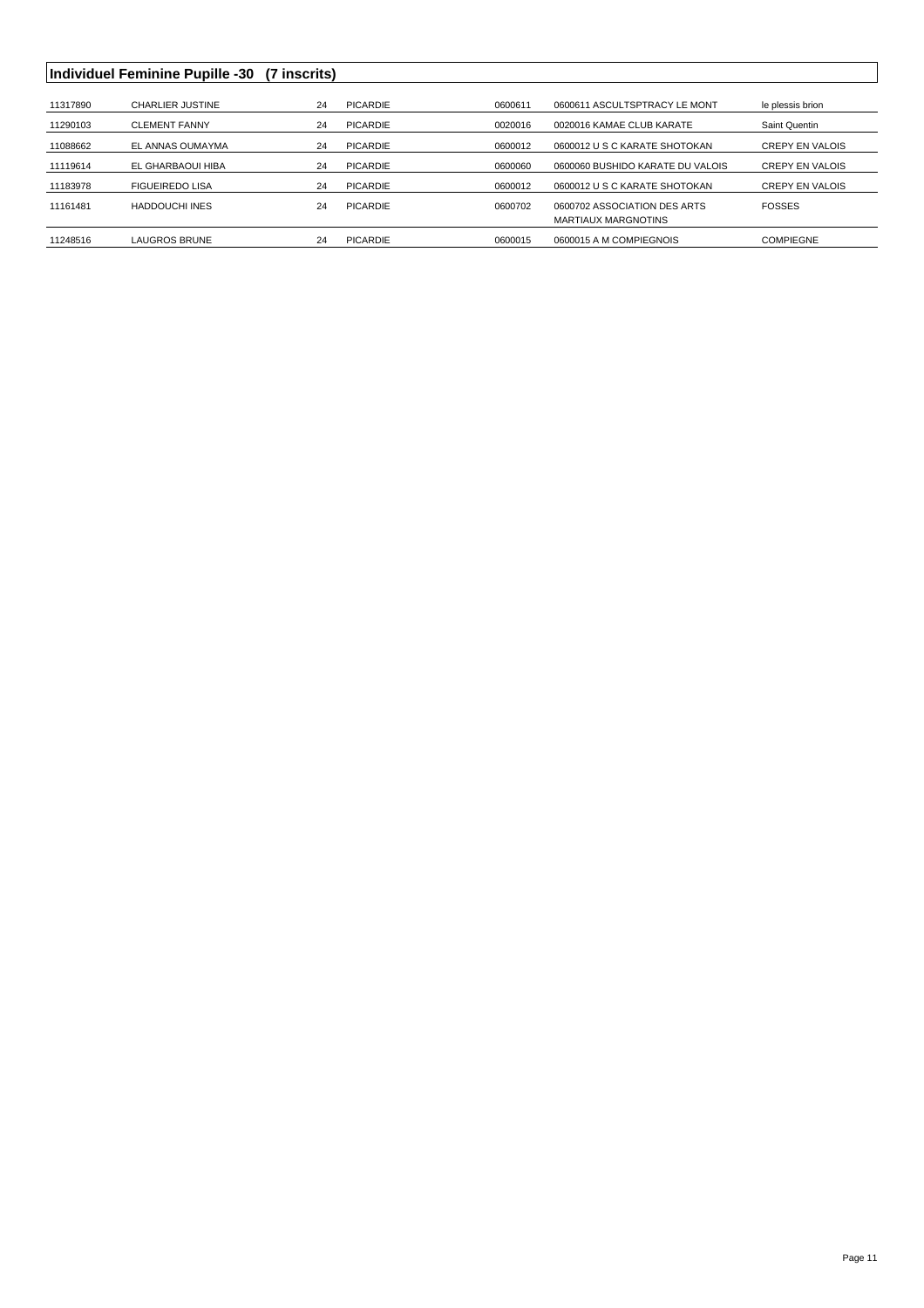## **Individuel Feminine Pupille -30 (7 inscrits)**

| 11317890 | <b>CHARLIER JUSTINE</b> | 24 | PICARDIE        | 0600611 | 0600611 ASCULTSPTRACY LE MONT    | le plessis brion       |
|----------|-------------------------|----|-----------------|---------|----------------------------------|------------------------|
| 11290103 | <b>CLEMENT FANNY</b>    | 24 | PICARDIE        | 0020016 | 0020016 KAMAE CLUB KARATE        | Saint Quentin          |
| 11088662 | EL ANNAS OUMAYMA        | 24 | PICARDIE        | 0600012 | 0600012 U S C KARATE SHOTOKAN    | <b>CREPY EN VALOIS</b> |
| 11119614 | EL GHARBAOUI HIBA       | 24 | PICARDIE        | 0600060 | 0600060 BUSHIDO KARATE DU VALOIS | <b>CREPY EN VALOIS</b> |
| 11183978 | <b>FIGUEIREDO LISA</b>  | 24 | PICARDIE        | 0600012 | 0600012 U S C KARATE SHOTOKAN    | <b>CREPY EN VALOIS</b> |
| 11161481 | <b>HADDOUCHI INES</b>   | 24 | <b>PICARDIE</b> | 0600702 | 0600702 ASSOCIATION DES ARTS     | <b>FOSSES</b>          |
|          |                         |    |                 |         | <b>MARTIAUX MARGNOTINS</b>       |                        |
| 11248516 | LAUGROS BRUNE           | 24 | PICARDIE        | 0600015 | 0600015 A M COMPIEGNOIS          | <b>COMPIEGNE</b>       |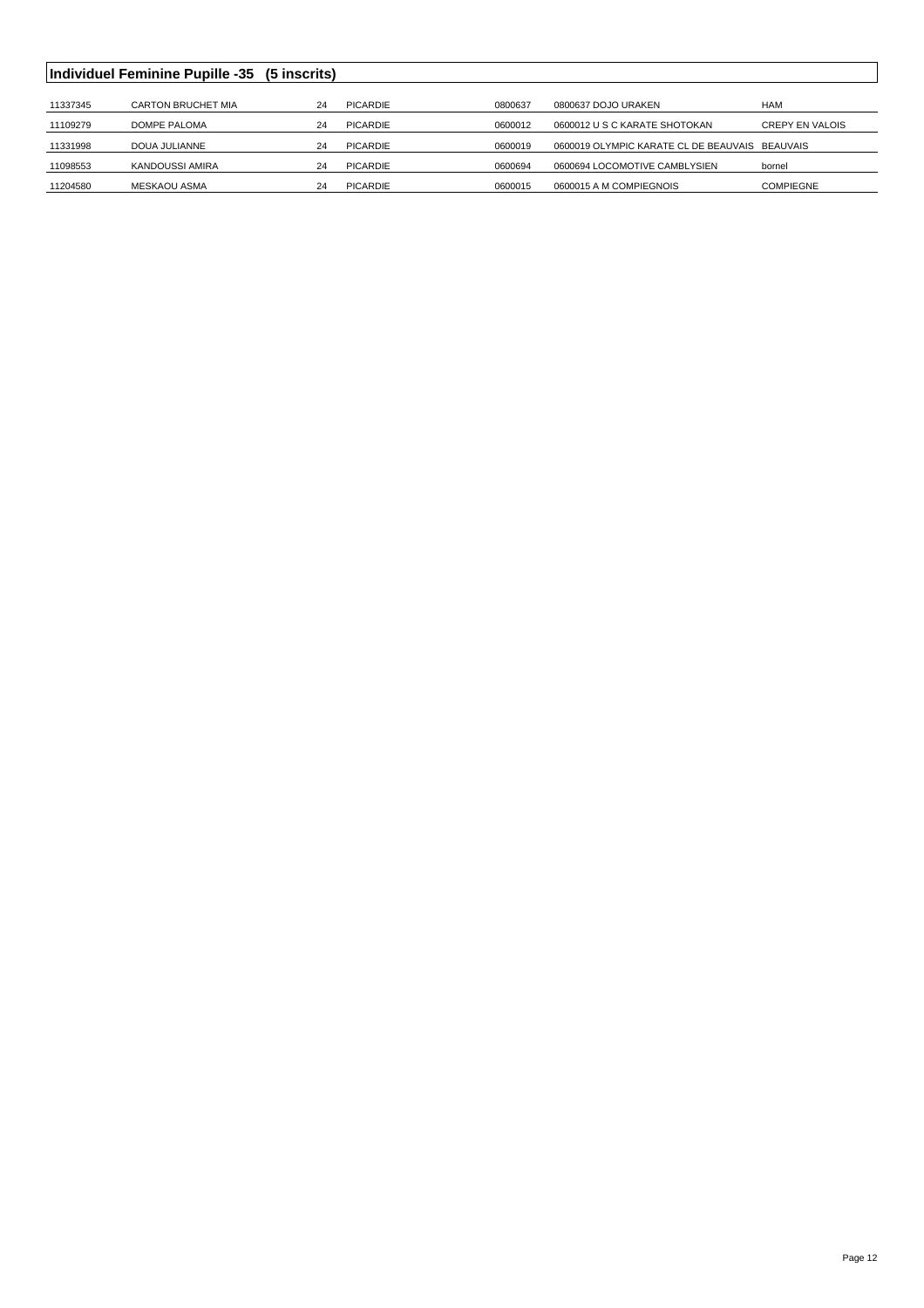|          | Individuel Feminine Pupille -35 (5 inscrits) |    |                 |         |                                                |                        |
|----------|----------------------------------------------|----|-----------------|---------|------------------------------------------------|------------------------|
|          |                                              |    |                 |         |                                                |                        |
| 11337345 | <b>CARTON BRUCHET MIA</b>                    | 24 | PICARDIE        | 0800637 | 0800637 DOJO URAKEN                            | HAM                    |
| 11109279 | DOMPE PALOMA                                 | 24 | PICARDIE        | 0600012 | 0600012 U S C KARATE SHOTOKAN                  | <b>CREPY EN VALOIS</b> |
| 11331998 | DOUA JULIANNE                                | 24 | PICARDIE        | 0600019 | 0600019 OLYMPIC KARATE CL DE BEAUVAIS BEAUVAIS |                        |
| 11098553 | KANDOUSSI AMIRA                              | 24 | PICARDIE        | 0600694 | 0600694 LOCOMOTIVE CAMBLYSIEN                  | bornel                 |
| 11204580 | MESKAOU ASMA                                 | 24 | <b>PICARDIE</b> | 0600015 | 0600015 A M COMPIEGNOIS                        | COMPIEGNE              |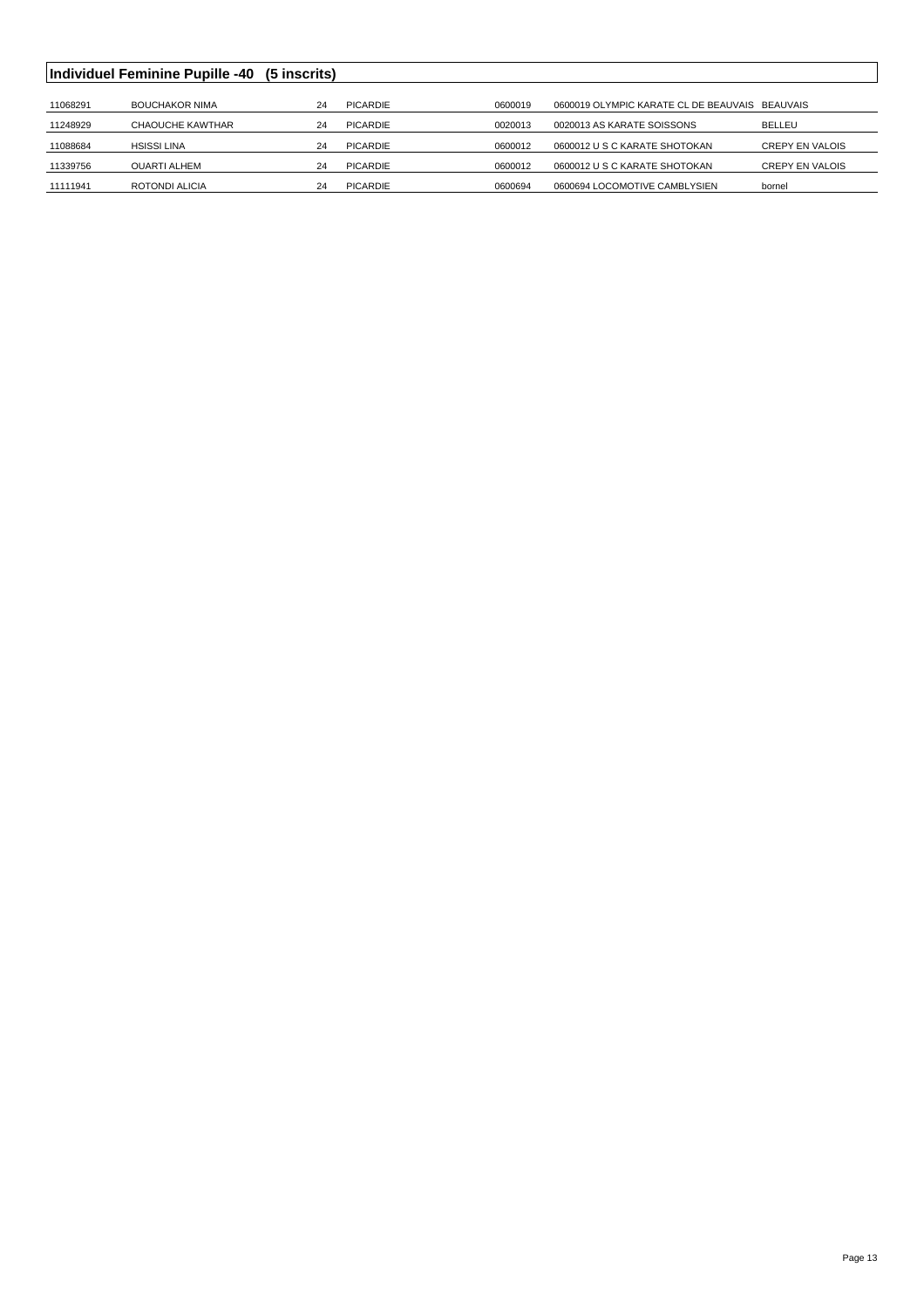|          | Individuel Feminine Pupille -40 | (5 inscrits) |                 |         |                                                |                        |
|----------|---------------------------------|--------------|-----------------|---------|------------------------------------------------|------------------------|
|          |                                 |              |                 |         |                                                |                        |
| 11068291 | <b>BOUCHAKOR NIMA</b>           | 24           | <b>PICARDIE</b> | 0600019 | 0600019 OLYMPIC KARATE CL DE BEAUVAIS BEAUVAIS |                        |
| 11248929 | CHAOUCHE KAWTHAR                | 24           | <b>PICARDIE</b> | 0020013 | 0020013 AS KARATE SOISSONS                     | <b>BELLEU</b>          |
| 11088684 | <b>HSISSI LINA</b>              | 24           | <b>PICARDIE</b> | 0600012 | 0600012 U S C KARATE SHOTOKAN                  | <b>CREPY EN VALOIS</b> |
| 11339756 | <b>OUARTI ALHEM</b>             | 24           | <b>PICARDIE</b> | 0600012 | 0600012 U S C KARATE SHOTOKAN                  | <b>CREPY EN VALOIS</b> |
| 11111941 | ROTONDI ALICIA                  | 24           | <b>PICARDIE</b> | 0600694 | 0600694 LOCOMOTIVE CAMBLYSIEN                  | bornel                 |
|          |                                 |              |                 |         |                                                |                        |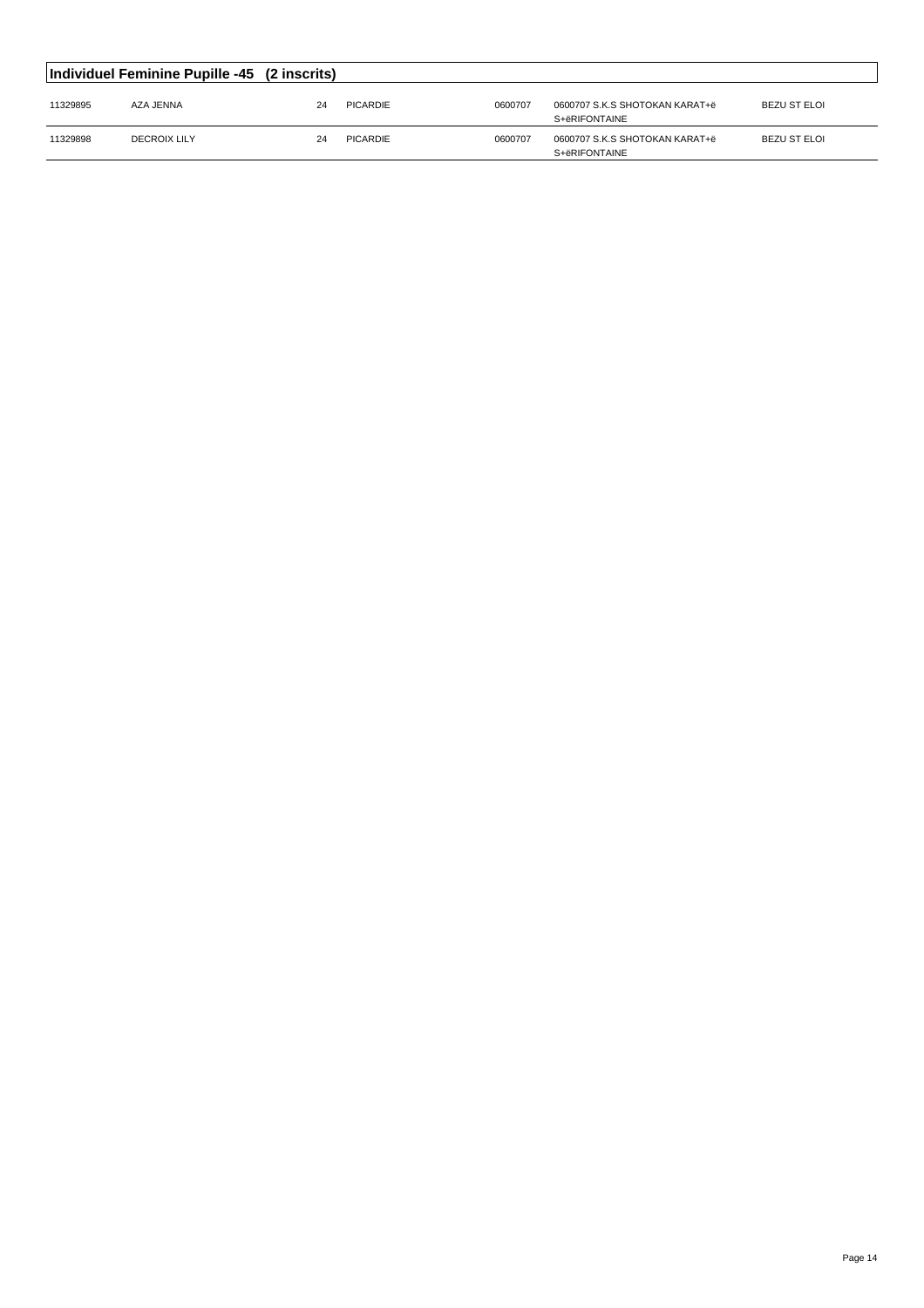|          | Individuel Feminine Pupille -45 (2 inscrits) |    |          |         |                                                 |              |
|----------|----------------------------------------------|----|----------|---------|-------------------------------------------------|--------------|
| 11329895 | AZA JENNA                                    | 24 | PICARDIE | 0600707 | 0600707 S.K.S SHOTOKAN KARAT+ë<br>S+ëRIFONTAINE | BEZU ST ELOI |
| 11329898 | <b>DECROIX LILY</b>                          | 24 | PICARDIE | 0600707 | 0600707 S.K.S SHOTOKAN KARAT+ë<br>S+ëRIFONTAINE | BEZU ST ELOI |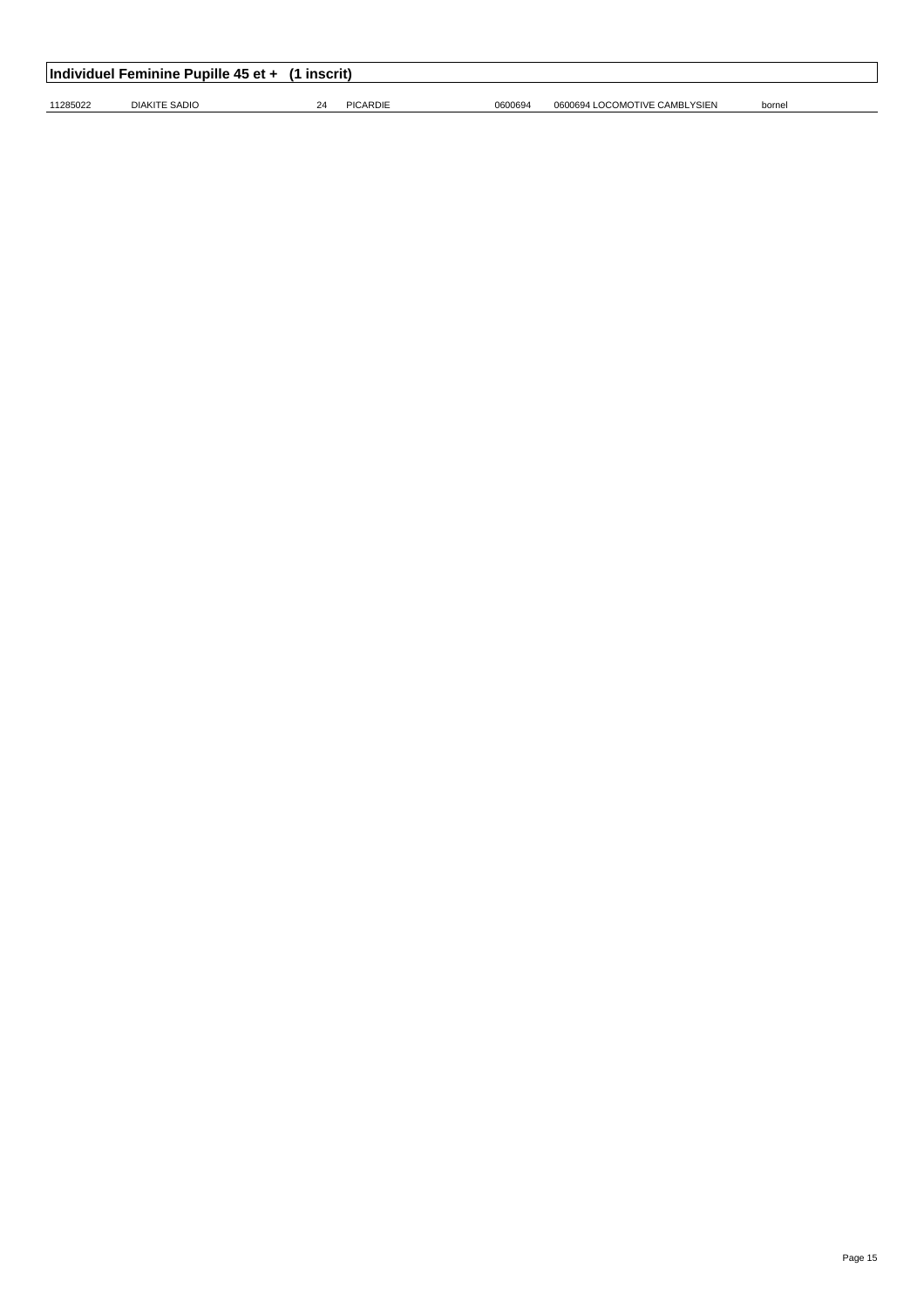| Individuel Feminine Pupille 45 et + (1 inscrit) |               |    |          |         |                               |        |  |  |  |
|-------------------------------------------------|---------------|----|----------|---------|-------------------------------|--------|--|--|--|
| 11285022                                        | DIAKITE SADIO | 24 | PICARDIE | 0600694 | 0600694 LOCOMOTIVE CAMBLYSIEN | bornel |  |  |  |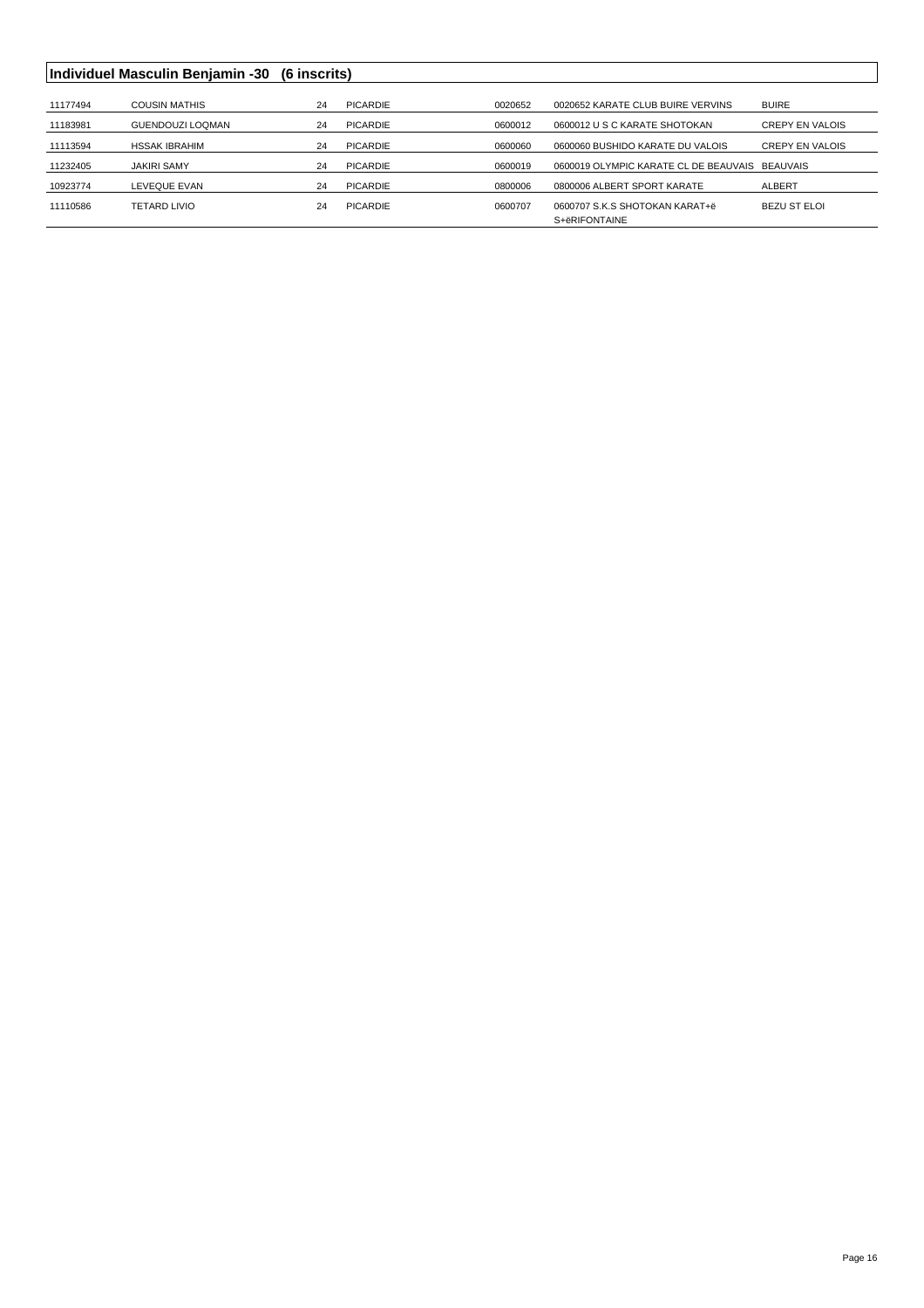## **Individuel Masculin Benjamin -30 (6 inscrits)**

| 11177494 | <b>COUSIN MATHIS</b>    | 24 | PICARDIE        | 0020652 | 0020652 KARATE CLUB BUIRE VERVINS              | <b>BUIRE</b>           |
|----------|-------------------------|----|-----------------|---------|------------------------------------------------|------------------------|
| 11183981 | <b>GUENDOUZI LOQMAN</b> | 24 | PICARDIE        | 0600012 | 0600012 U S C KARATE SHOTOKAN                  | <b>CREPY EN VALOIS</b> |
| 11113594 | <b>HSSAK IBRAHIM</b>    | 24 | PICARDIE        | 0600060 | 0600060 BUSHIDO KARATE DU VALOIS               | <b>CREPY EN VALOIS</b> |
| 11232405 | <b>JAKIRI SAMY</b>      | 24 | PICARDIE        | 0600019 | 0600019 OLYMPIC KARATE CL DE BEAUVAIS BEAUVAIS |                        |
| 10923774 | LEVEQUE EVAN            | 24 | <b>PICARDIE</b> | 0800006 | 0800006 ALBERT SPORT KARATE                    | <b>ALBERT</b>          |
| 11110586 | TETARD LIVIO            | 24 | PICARDIE        | 0600707 | 0600707 S.K.S SHOTOKAN KARAT+ë                 | BEZU ST ELOI           |
|          |                         |    |                 |         | S+ëRIFONTAINE                                  |                        |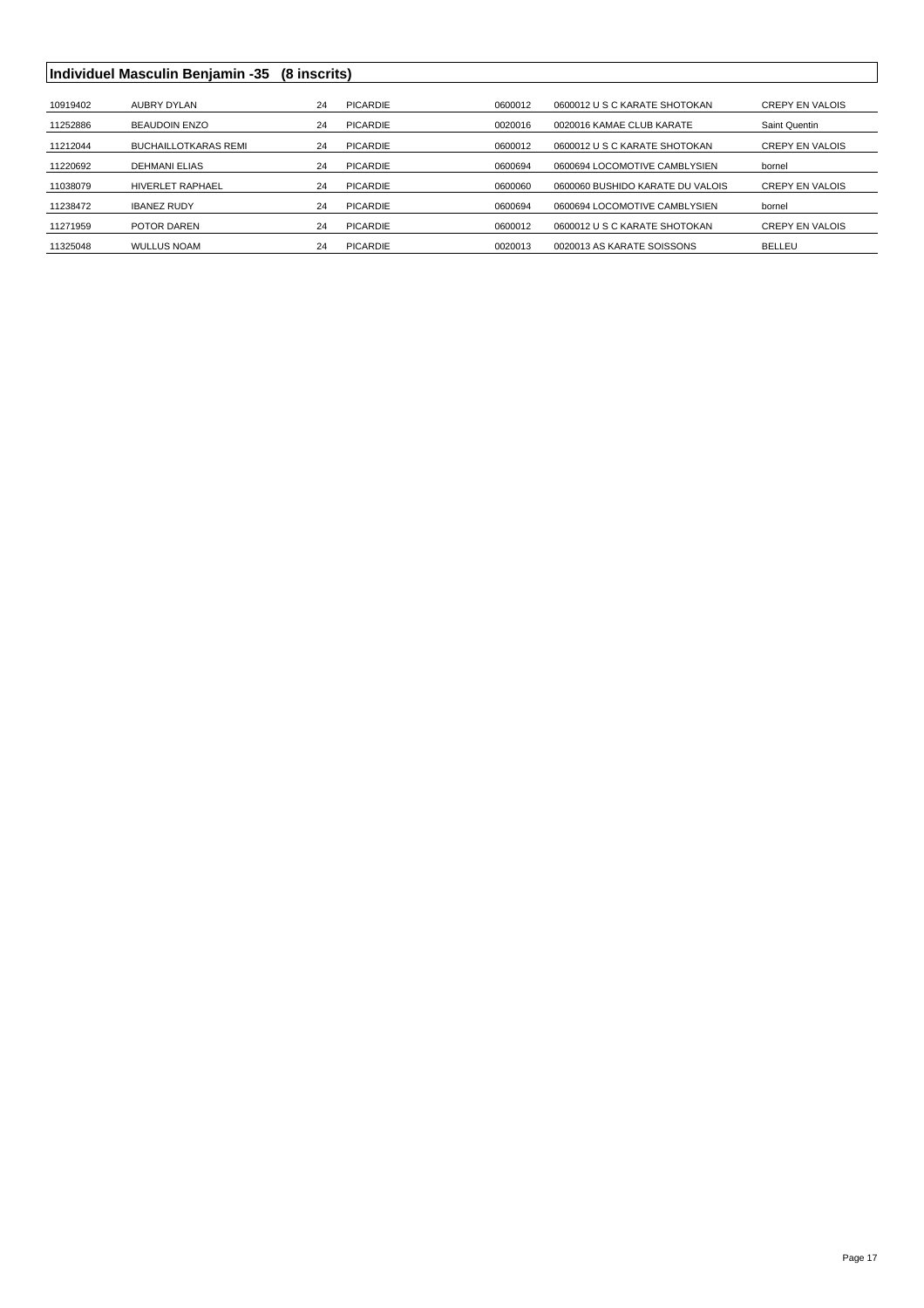## **Individuel Masculin Benjamin -35 (8 inscrits)**

| 10919402 | AUBRY DYLAN                 | 24 | PICARDIE        | 0600012 | 0600012 U S C KARATE SHOTOKAN    | <b>CREPY EN VALOIS</b> |
|----------|-----------------------------|----|-----------------|---------|----------------------------------|------------------------|
| 11252886 | <b>BEAUDOIN ENZO</b>        | 24 | PICARDIE        | 0020016 | 0020016 KAMAE CLUB KARATE        | Saint Quentin          |
| 11212044 | <b>BUCHAILLOTKARAS REMI</b> | 24 | PICARDIE        | 0600012 | 0600012 U S C KARATE SHOTOKAN    | <b>CREPY EN VALOIS</b> |
| 11220692 | <b>DEHMANI ELIAS</b>        | 24 | PICARDIE        | 0600694 | 0600694 LOCOMOTIVE CAMBLYSIEN    | bornel                 |
| 11038079 | <b>HIVERLET RAPHAEL</b>     | 24 | PICARDIE        | 0600060 | 0600060 BUSHIDO KARATE DU VALOIS | <b>CREPY EN VALOIS</b> |
| 11238472 | <b>IBANEZ RUDY</b>          | 24 | PICARDIE        | 0600694 | 0600694 LOCOMOTIVE CAMBLYSIEN    | bornel                 |
| 11271959 | POTOR DAREN                 | 24 | <b>PICARDIE</b> | 0600012 | 0600012 U S C KARATE SHOTOKAN    | <b>CREPY EN VALOIS</b> |
| 11325048 | <b>WULLUS NOAM</b>          | 24 | PICARDIE        | 0020013 | 0020013 AS KARATE SOISSONS       | <b>BELLEU</b>          |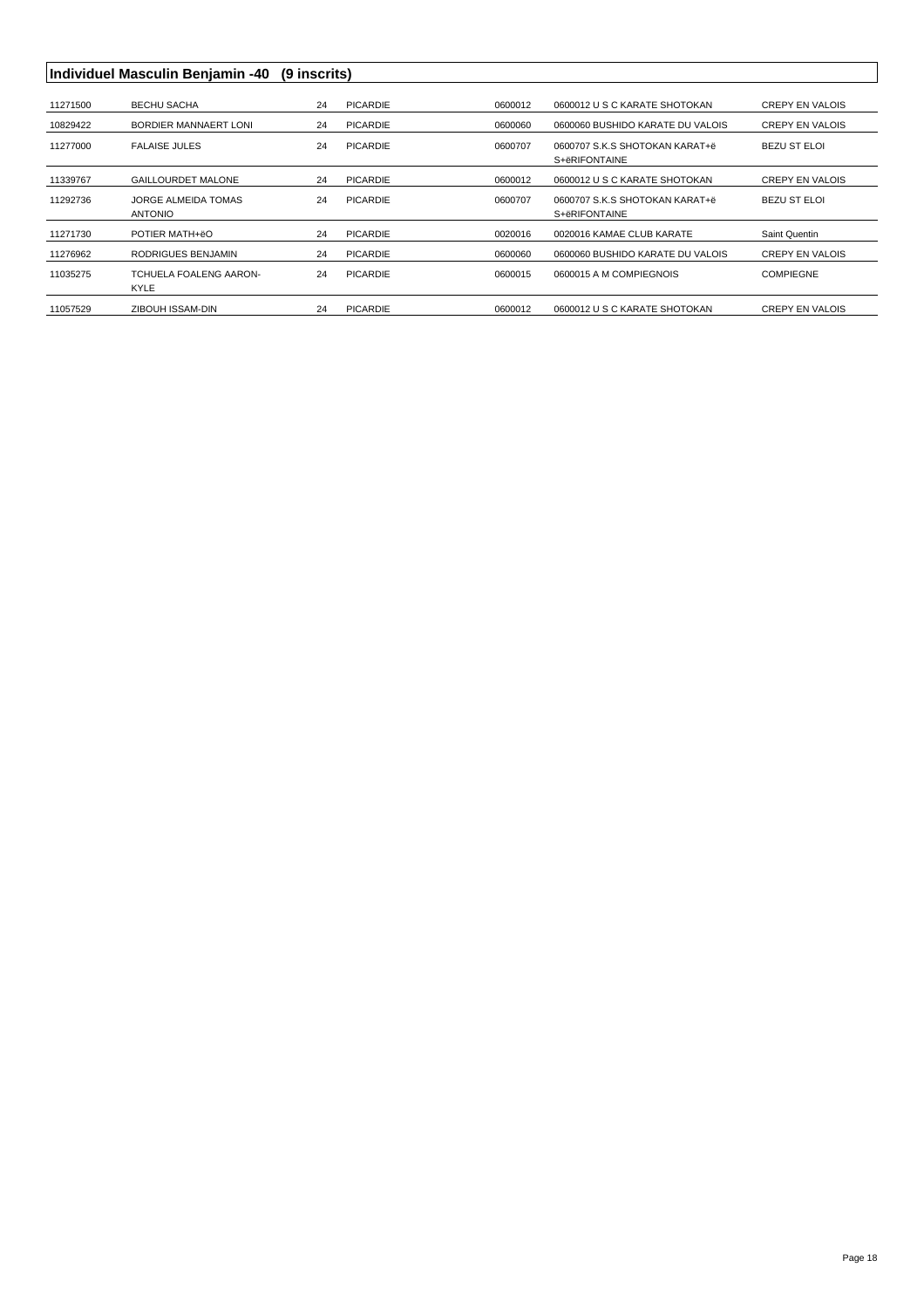|          | Individuel Masculin Benjamin -40 | (9 inscrits) |                 |         |                                  |                        |
|----------|----------------------------------|--------------|-----------------|---------|----------------------------------|------------------------|
|          |                                  |              |                 |         |                                  |                        |
| 11271500 | <b>BECHU SACHA</b>               | 24           | <b>PICARDIE</b> | 0600012 | 0600012 U S C KARATE SHOTOKAN    | <b>CREPY EN VALOIS</b> |
| 10829422 | BORDIER MANNAERT LONI            | 24           | <b>PICARDIE</b> | 0600060 | 0600060 BUSHIDO KARATE DU VALOIS | <b>CREPY EN VALOIS</b> |
| 11277000 | <b>FALAISE JULES</b>             | 24           | <b>PICARDIE</b> | 0600707 | 0600707 S.K.S SHOTOKAN KARAT+ë   | <b>BEZU ST ELOI</b>    |
|          |                                  |              |                 |         | S+ëRIFONTAINE                    |                        |
|          |                                  |              |                 |         |                                  |                        |
| 11339767 | <b>GAILLOURDET MALONE</b>        | 24           | <b>PICARDIE</b> | 0600012 | 0600012 U S C KARATE SHOTOKAN    | <b>CREPY EN VALOIS</b> |
| 11292736 | <b>JORGE ALMEIDA TOMAS</b>       | 24           | <b>PICARDIE</b> | 0600707 | 0600707 S.K.S SHOTOKAN KARAT+ë   | BEZU ST ELOI           |
|          | <b>ANTONIO</b>                   |              |                 |         | S+ëRIFONTAINE                    |                        |
| 11271730 | POTIER MATH+ëO                   | 24           | <b>PICARDIE</b> | 0020016 | 0020016 KAMAE CLUB KARATE        | Saint Quentin          |
| 11276962 | RODRIGUES BENJAMIN               | 24           | <b>PICARDIE</b> | 0600060 | 0600060 BUSHIDO KARATE DU VALOIS | <b>CREPY EN VALOIS</b> |
| 11035275 | TCHUELA FOALENG AARON-           | 24           | <b>PICARDIE</b> | 0600015 | 0600015 A M COMPIEGNOIS          | <b>COMPIEGNE</b>       |
|          | <b>KYLE</b>                      |              |                 |         |                                  |                        |
| 11057529 | ZIBOUH ISSAM-DIN                 | 24           | <b>PICARDIE</b> | 0600012 | 0600012 U S C KARATE SHOTOKAN    | <b>CREPY EN VALOIS</b> |
|          |                                  |              |                 |         |                                  |                        |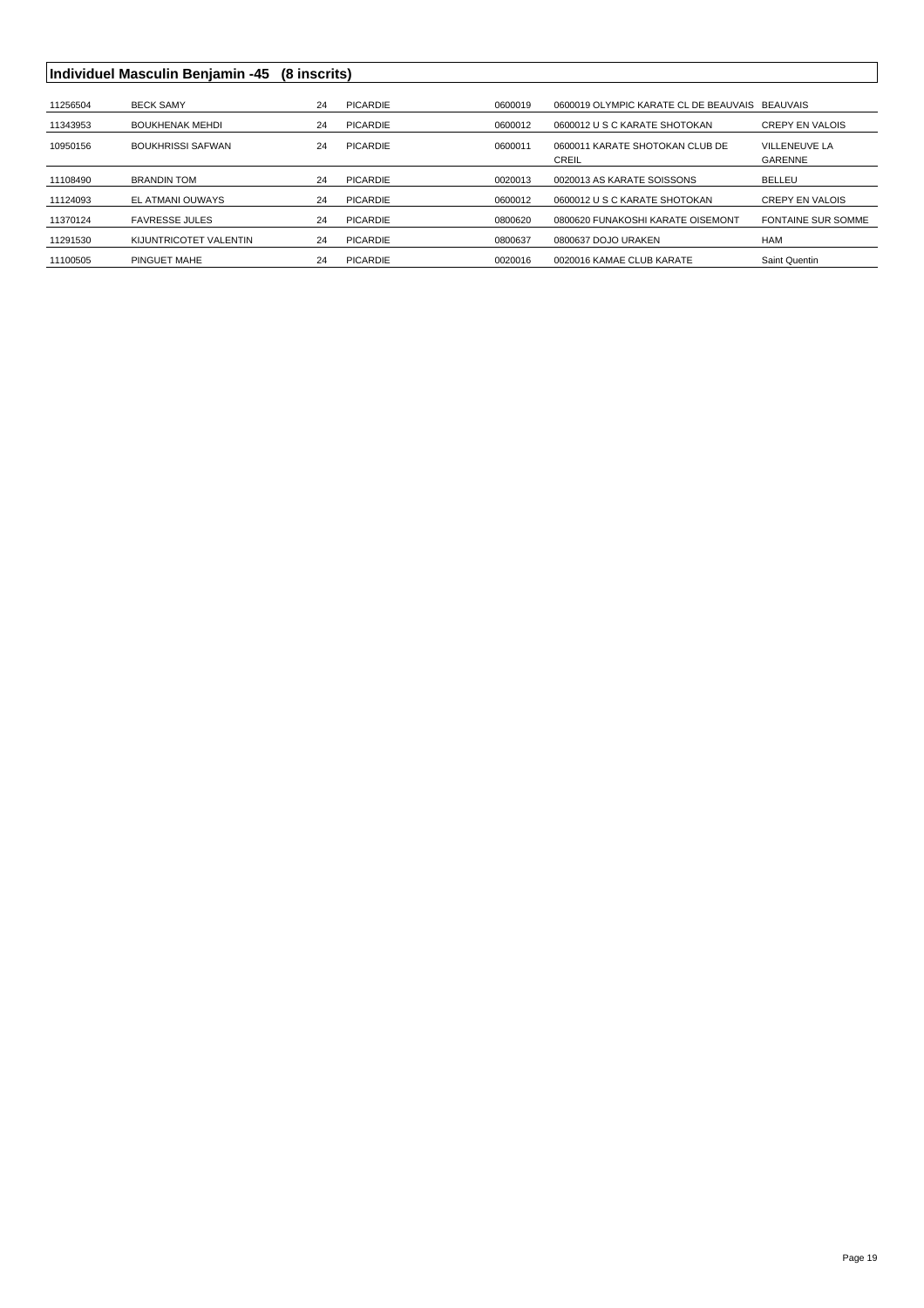## **Individuel Masculin Benjamin -45 (8 inscrits)**

| 11256504 | <b>BECK SAMY</b>         | 24 | PICARDIE | 0600019 | 0600019 OLYMPIC KARATE CL DE BEAUVAIS    | <b>BEAUVAIS</b>           |
|----------|--------------------------|----|----------|---------|------------------------------------------|---------------------------|
| 11343953 | <b>BOUKHENAK MEHDI</b>   | 24 | PICARDIE | 0600012 | 0600012 U S C KARATE SHOTOKAN            | <b>CREPY EN VALOIS</b>    |
| 10950156 | <b>BOUKHRISSI SAFWAN</b> | 24 | PICARDIE | 0600011 | 0600011 KARATE SHOTOKAN CLUB DE<br>CREIL | VILLENEUVE LA<br>GARENNE  |
| 11108490 | <b>BRANDIN TOM</b>       | 24 | PICARDIE | 0020013 | 0020013 AS KARATE SOISSONS               | <b>BELLEU</b>             |
| 11124093 | EL ATMANI OUWAYS         | 24 | PICARDIE | 0600012 | 0600012 U S C KARATE SHOTOKAN            | <b>CREPY EN VALOIS</b>    |
| 11370124 | <b>FAVRESSE JULES</b>    | 24 | PICARDIE | 0800620 | 0800620 FUNAKOSHI KARATE OISEMONT        | <b>FONTAINE SUR SOMME</b> |
| 11291530 | KIJUNTRICOTET VALENTIN   | 24 | PICARDIE | 0800637 | 0800637 DOJO URAKEN                      | <b>HAM</b>                |
| 11100505 | PINGUET MAHE             | 24 | PICARDIE | 0020016 | 0020016 KAMAE CLUB KARATE                | Saint Quentin             |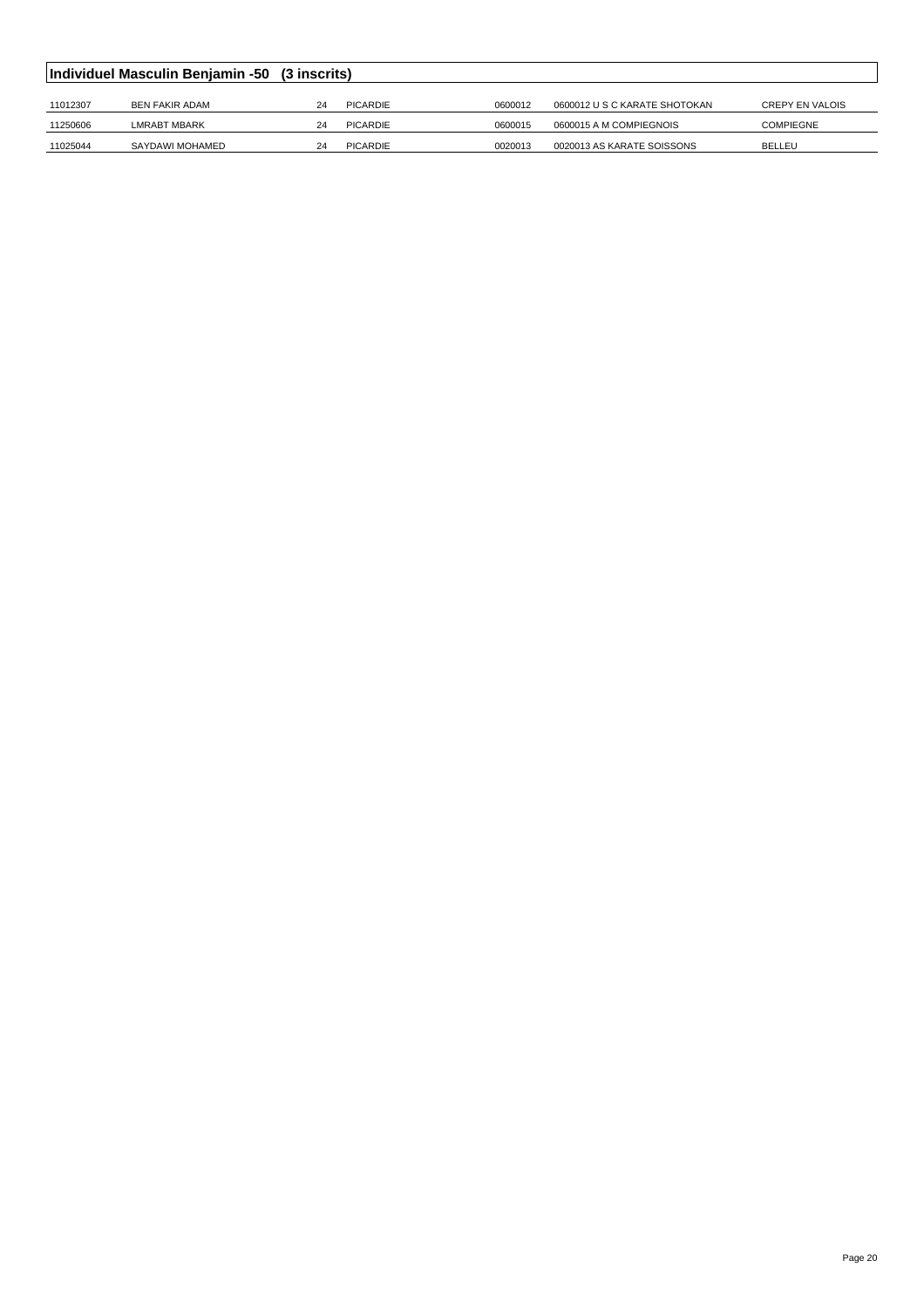|          | Individuel Masculin Benjamin -50 (3 inscrits) |    |          |         |                               |                        |  |  |  |  |
|----------|-----------------------------------------------|----|----------|---------|-------------------------------|------------------------|--|--|--|--|
|          |                                               |    |          |         |                               |                        |  |  |  |  |
| 11012307 | <b>BEN FAKIR ADAM</b>                         | 24 | PICARDIE | 0600012 | 0600012 U S C KARATE SHOTOKAN | <b>CREPY EN VALOIS</b> |  |  |  |  |
| 11250606 | <b>LMRABT MBARK</b>                           | 24 | PICARDIE | 0600015 | 0600015 A M COMPIEGNOIS       | <b>COMPIEGNE</b>       |  |  |  |  |
| 11025044 | SAYDAWI MOHAMED                               | 24 | PICARDIE | 0020013 | 0020013 AS KARATE SOISSONS    | <b>BELLEU</b>          |  |  |  |  |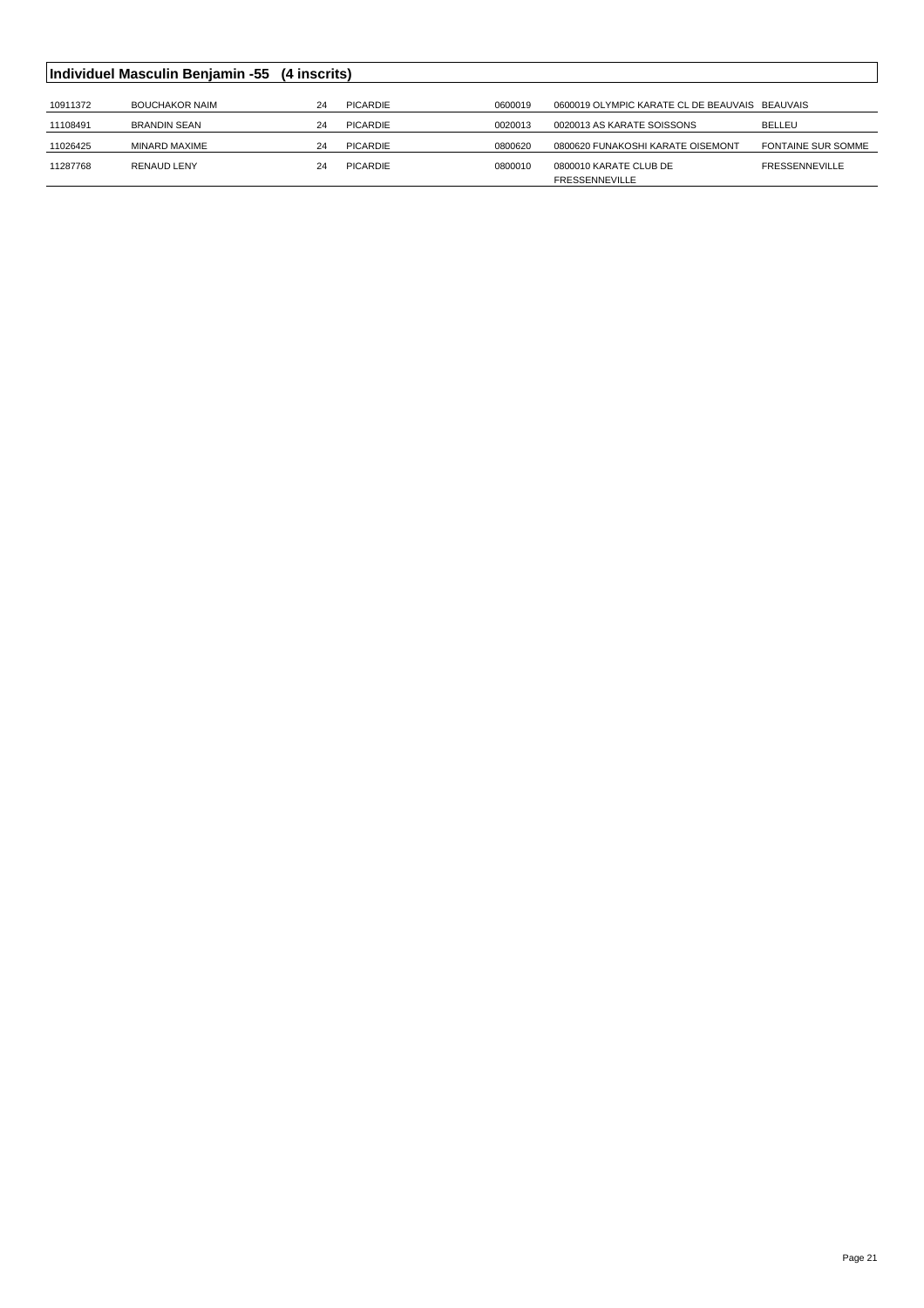|          | Individuel Masculin Benjamin -55 (4 inscrits) |    |          |         |                                                |                           |
|----------|-----------------------------------------------|----|----------|---------|------------------------------------------------|---------------------------|
|          |                                               |    |          |         |                                                |                           |
| 10911372 | <b>BOUCHAKOR NAIM</b>                         | 24 | PICARDIE | 0600019 | 0600019 OLYMPIC KARATE CL DE BEAUVAIS BEAUVAIS |                           |
| 11108491 | <b>BRANDIN SEAN</b>                           | 24 | PICARDIE | 0020013 | 0020013 AS KARATE SOISSONS                     | <b>BELLEU</b>             |
| 11026425 | MINARD MAXIME                                 | 24 | PICARDIE | 0800620 | 0800620 FUNAKOSHI KARATE OISEMONT              | <b>FONTAINE SUR SOMME</b> |
| 11287768 | <b>RENAUD LENY</b>                            | 24 | PICARDIE | 0800010 | 0800010 KARATE CLUB DE                         | <b>FRESSENNEVILLE</b>     |
|          |                                               |    |          |         | <b>FRESSENNEVILLE</b>                          |                           |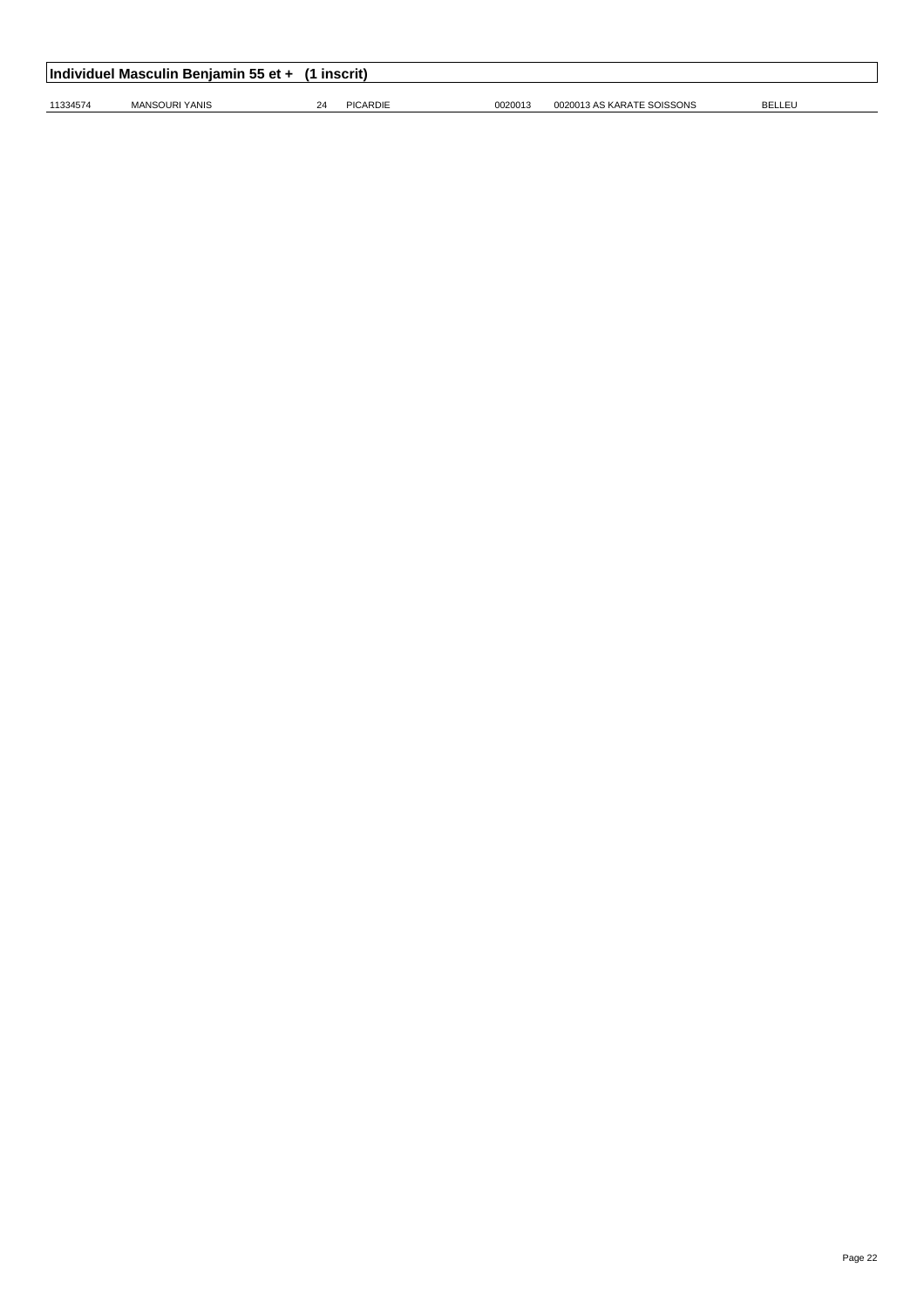|          | Individuel Masculin Benjamin 55 et + (1 inscrit) |    |          |         |                            |               |  |  |  |  |
|----------|--------------------------------------------------|----|----------|---------|----------------------------|---------------|--|--|--|--|
| 11334574 | MANSOURI YANIS                                   | 24 | PICARDIE | 0020013 | 0020013 AS KARATE SOISSONS | <b>BELLEU</b> |  |  |  |  |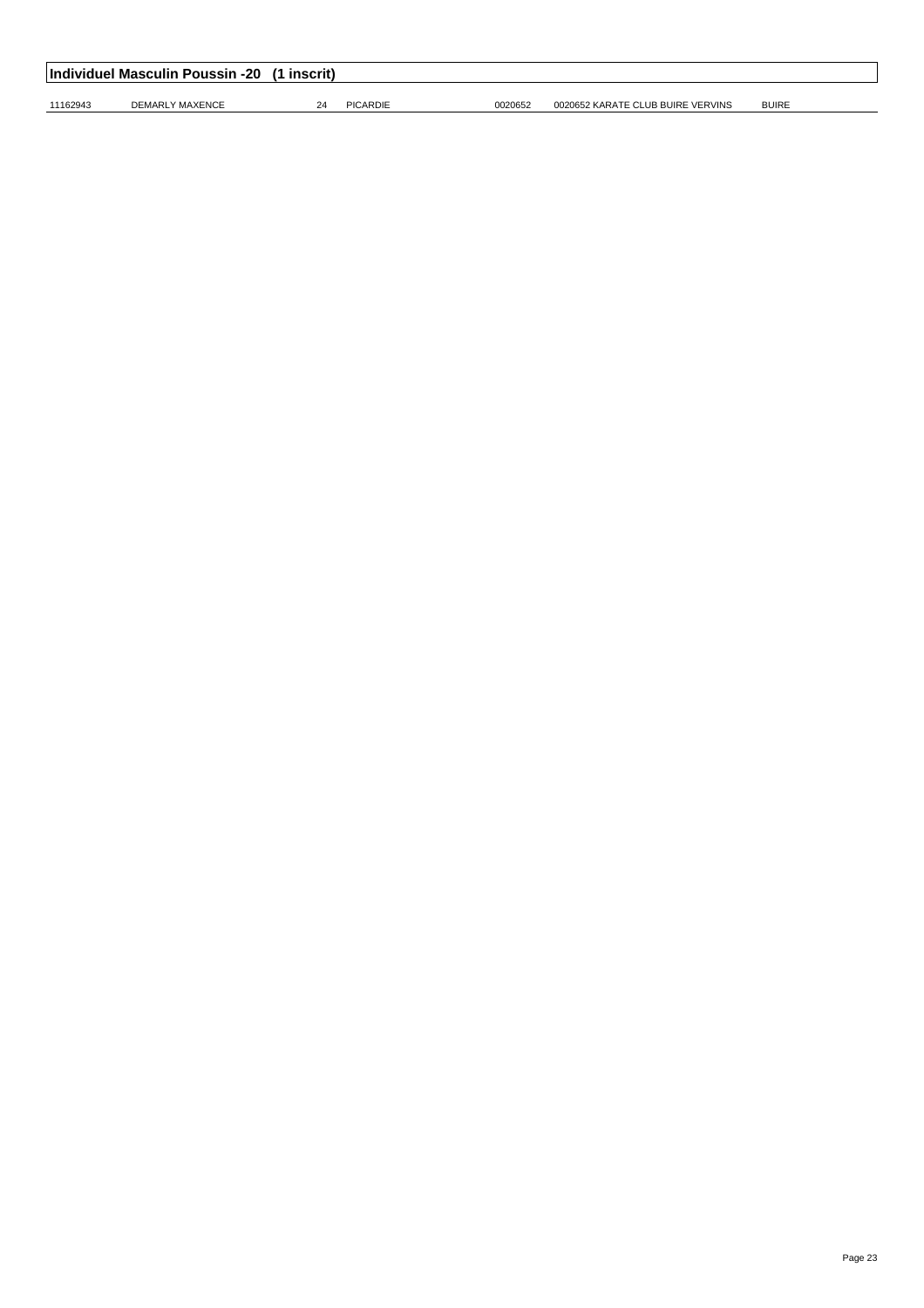|          | Individuel Masculin Poussin -20 (1 inscrit) |            |                 |         |                                   |              |  |
|----------|---------------------------------------------|------------|-----------------|---------|-----------------------------------|--------------|--|
| 11162943 | DEMARLY MAXENCE                             | $2\Lambda$ | <b>PICARDIE</b> | 0020652 | 0020652 KARATE CLUB BUIRE VERVINS | <b>BUIRE</b> |  |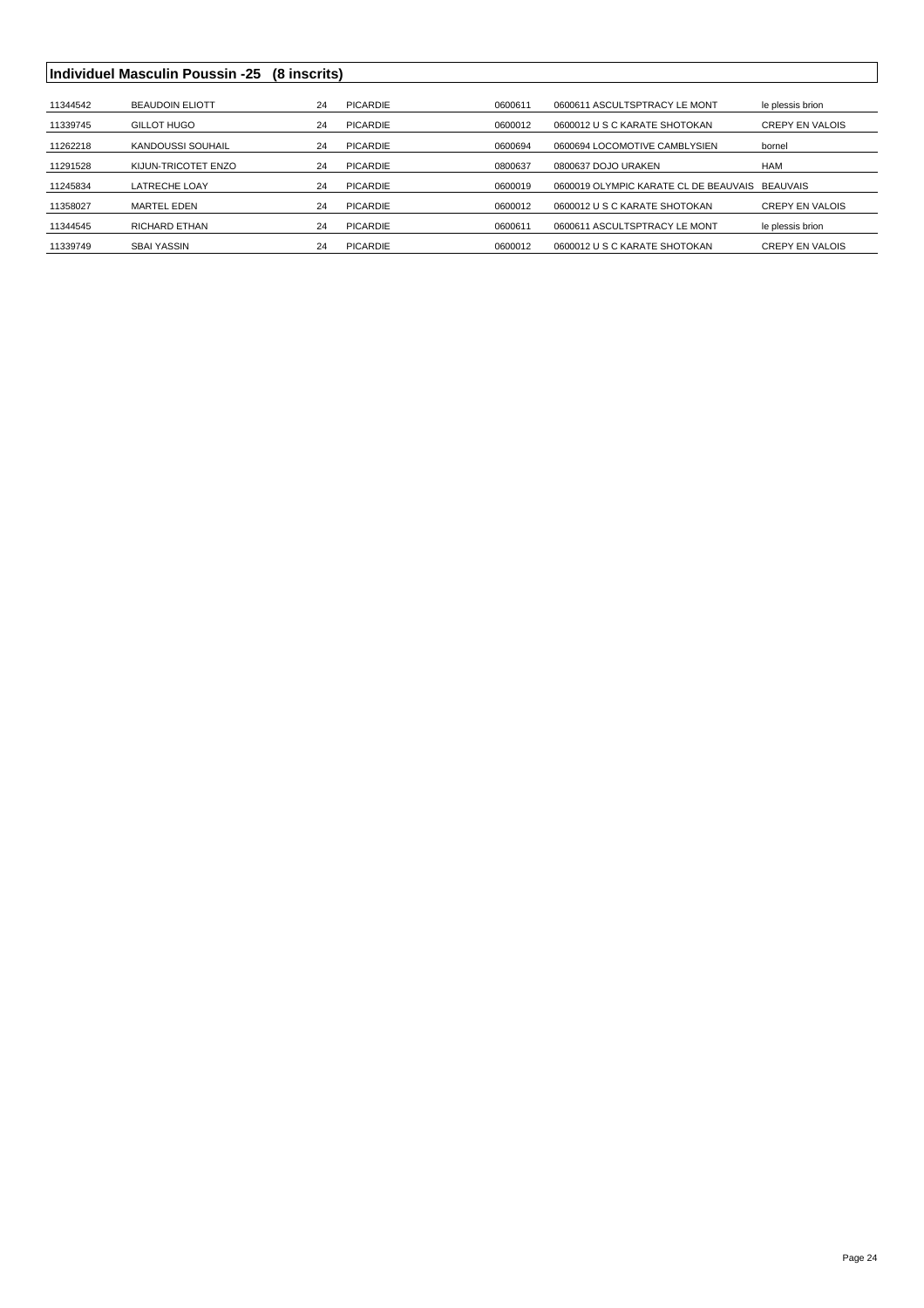#### **Individuel Masculin Poussin -25 (8 inscrits)**

| 11344542 | <b>BEAUDOIN ELIOTT</b> | 24 | PICARDIE        | 0600611 | 0600611 ASCULTSPTRACY LE MONT         | le plessis brion       |
|----------|------------------------|----|-----------------|---------|---------------------------------------|------------------------|
| 11339745 | GILLOT HUGO            | 24 | <b>PICARDIE</b> | 0600012 | 0600012 U S C KARATE SHOTOKAN         | <b>CREPY EN VALOIS</b> |
| 11262218 | KANDOUSSI SOUHAIL      | 24 | <b>PICARDIE</b> | 0600694 | 0600694 LOCOMOTIVE CAMBLYSIEN         | bornel                 |
| 11291528 | KIJUN-TRICOTET ENZO    | 24 | PICARDIE        | 0800637 | 0800637 DOJO URAKEN                   | HAM                    |
| 11245834 | <b>LATRECHE LOAY</b>   | 24 | <b>PICARDIE</b> | 0600019 | 0600019 OLYMPIC KARATE CL DE BEAUVAIS | <b>BEAUVAIS</b>        |
| 11358027 | MARTEL EDEN            | 24 | PICARDIE        | 0600012 | 0600012 U S C KARATE SHOTOKAN         | <b>CREPY EN VALOIS</b> |
| 11344545 | <b>RICHARD ETHAN</b>   | 24 | <b>PICARDIE</b> | 0600611 | 0600611 ASCULTSPTRACY LE MONT         | le plessis brion       |
| 11339749 | <b>SBAI YASSIN</b>     | 24 | PICARDIE        | 0600012 | 0600012 U S C KARATE SHOTOKAN         | <b>CREPY EN VALOIS</b> |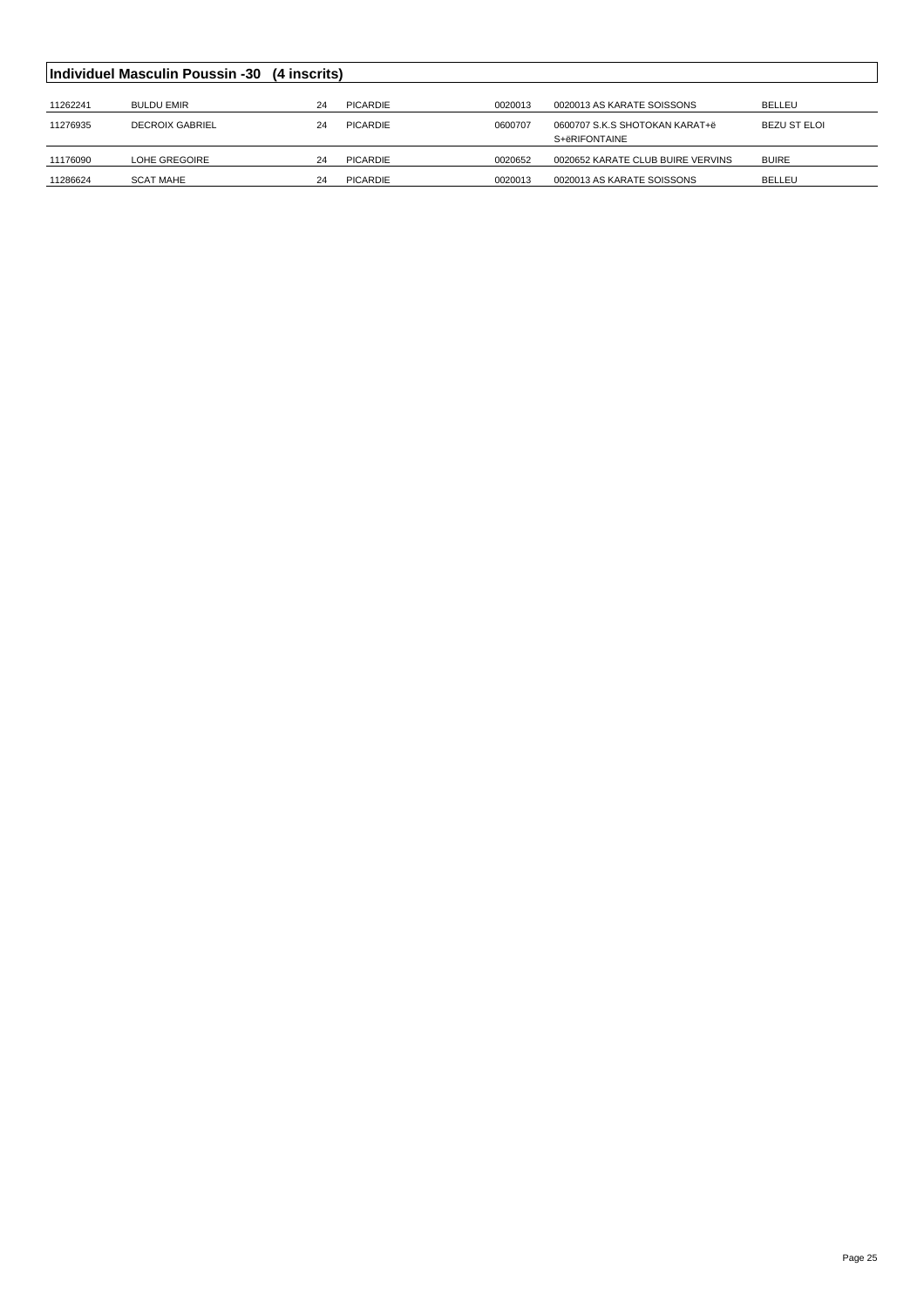|          | Individuel Masculin Poussin -30 (4 inscrits) |    |          |         |                                   |              |
|----------|----------------------------------------------|----|----------|---------|-----------------------------------|--------------|
|          |                                              |    |          |         |                                   |              |
| 11262241 | <b>BULDU EMIR</b>                            | 24 | PICARDIE | 0020013 | 0020013 AS KARATE SOISSONS        | BELLEU       |
| 11276935 | <b>DECROIX GABRIEL</b>                       | 24 | PICARDIE | 0600707 | 0600707 S.K.S SHOTOKAN KARAT+ë    | BEZU ST ELOI |
|          |                                              |    |          |         | S+ëRIFONTAINE                     |              |
| 11176090 | LOHE GREGOIRE                                | 24 | PICARDIE | 0020652 | 0020652 KARATE CLUB BUIRE VERVINS | <b>BUIRE</b> |
| 11286624 | <b>SCAT MAHE</b>                             | 24 | PICARDIE | 0020013 | 0020013 AS KARATE SOISSONS        | BELLEU       |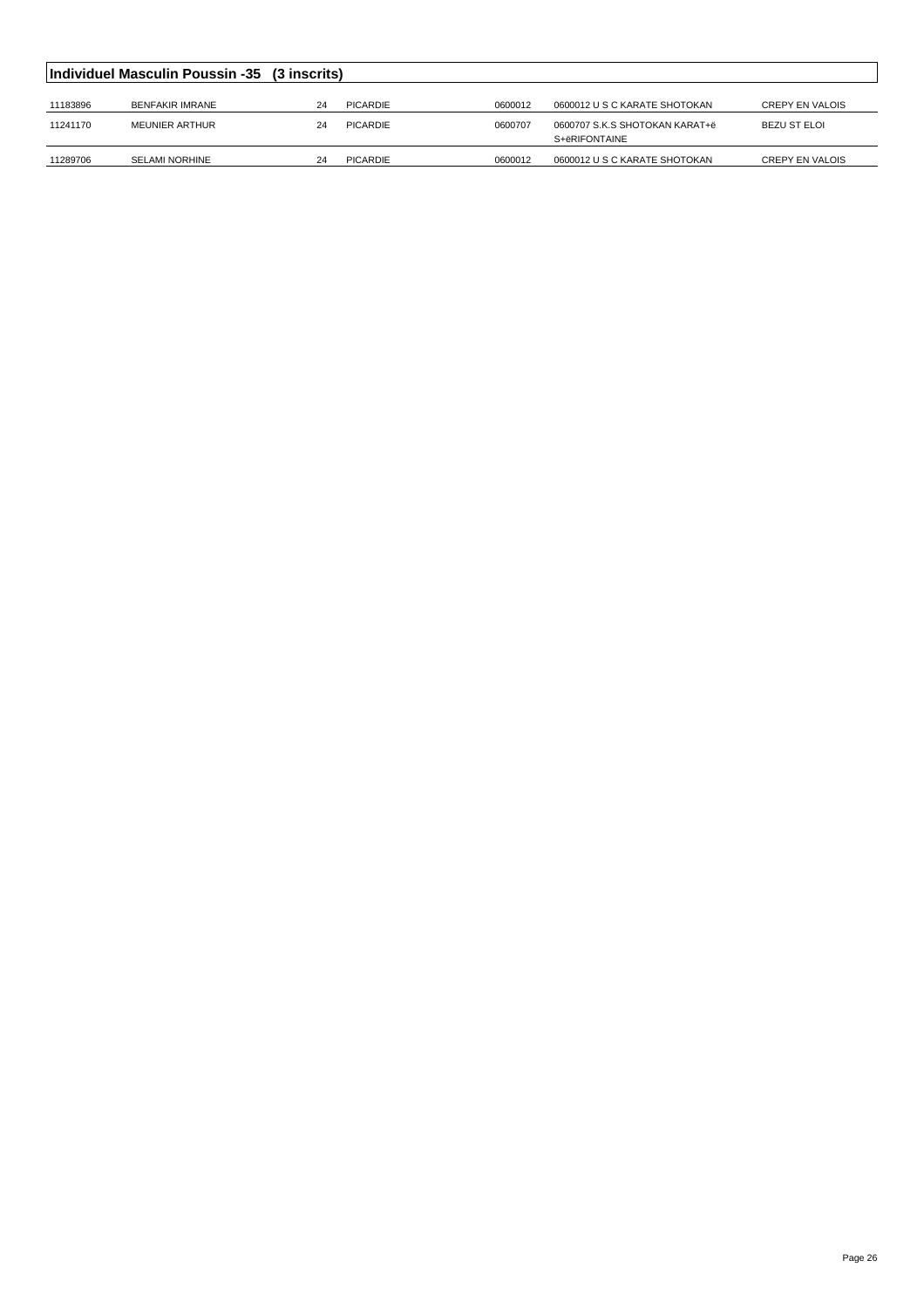| Individuel Masculin Poussin -35 (3 inscrits) |                       |    |          |         |                                                 |                        |  |  |
|----------------------------------------------|-----------------------|----|----------|---------|-------------------------------------------------|------------------------|--|--|
| 11183896                                     | BENFAKIR IMRANE       | 24 | PICARDIE | 0600012 | 0600012 U S C KARATE SHOTOKAN                   | <b>CREPY EN VALOIS</b> |  |  |
| 11241170                                     | MEUNIER ARTHUR        | 24 | PICARDIE | 0600707 | 0600707 S.K.S SHOTOKAN KARAT+ë<br>S+ëRIFONTAINE | BEZU ST ELOI           |  |  |
| 11289706                                     | <b>SELAMI NORHINE</b> | 24 | PICARDIE | 0600012 | 0600012 U S C KARATE SHOTOKAN                   | <b>CREPY EN VALOIS</b> |  |  |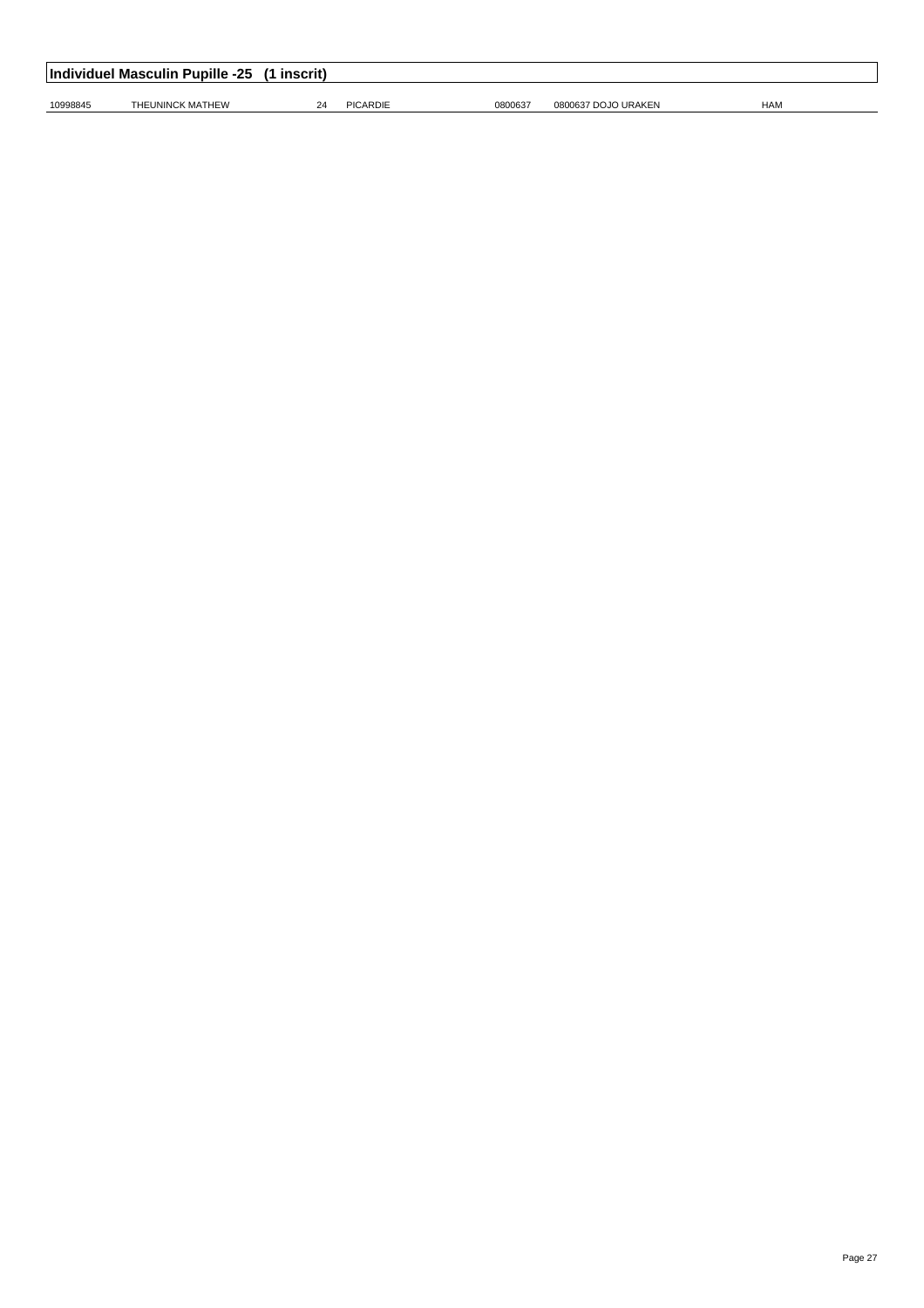| Individuel Masculin Pupille -25<br>inscrit) |                  |  |                 |         |                     |            |  |  |  |
|---------------------------------------------|------------------|--|-----------------|---------|---------------------|------------|--|--|--|
| 10998845                                    | THEUNINCK MATHEW |  | <b>PICARDIE</b> | 0800637 | 0800637 DOJO URAKEN | <b>HAM</b> |  |  |  |
|                                             |                  |  |                 |         |                     |            |  |  |  |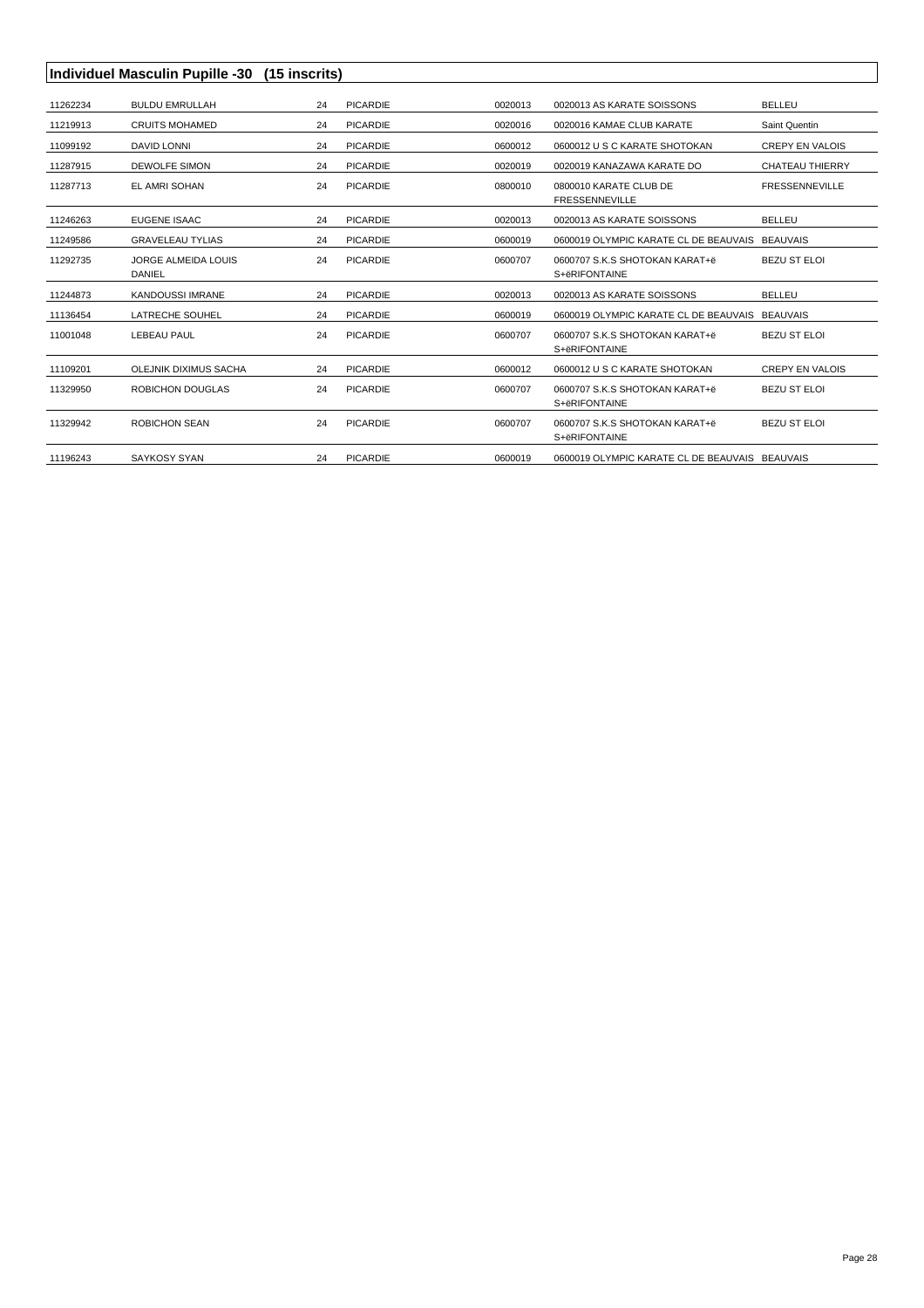|          | Individuel Masculin Pupille -30 (15 inscrits) |    |                 |         |                                                 |                        |  |  |
|----------|-----------------------------------------------|----|-----------------|---------|-------------------------------------------------|------------------------|--|--|
| 11262234 | <b>BULDU EMRULLAH</b>                         | 24 | <b>PICARDIE</b> | 0020013 | 0020013 AS KARATE SOISSONS                      | <b>BELLEU</b>          |  |  |
| 11219913 | <b>CRUITS MOHAMED</b>                         | 24 | <b>PICARDIE</b> | 0020016 | 0020016 KAMAE CLUB KARATE                       | Saint Quentin          |  |  |
| 11099192 | DAVID LONNI                                   | 24 | <b>PICARDIE</b> | 0600012 | 0600012 U S C KARATE SHOTOKAN                   | <b>CREPY EN VALOIS</b> |  |  |
| 11287915 | <b>DEWOLFE SIMON</b>                          | 24 | <b>PICARDIE</b> | 0020019 | 0020019 KANAZAWA KARATE DO                      | <b>CHATEAU THIERRY</b> |  |  |
| 11287713 | EL AMRI SOHAN                                 | 24 | <b>PICARDIE</b> | 0800010 | 0800010 KARATE CLUB DE<br><b>FRESSENNEVILLE</b> | <b>FRESSENNEVILLE</b>  |  |  |
| 11246263 | EUGENE ISAAC                                  | 24 | <b>PICARDIE</b> | 0020013 | 0020013 AS KARATE SOISSONS                      | <b>BELLEU</b>          |  |  |
| 11249586 | <b>GRAVELEAU TYLIAS</b>                       | 24 | <b>PICARDIE</b> | 0600019 | 0600019 OLYMPIC KARATE CL DE BEAUVAIS BEAUVAIS  |                        |  |  |
| 11292735 | <b>JORGE ALMEIDA LOUIS</b><br><b>DANIEL</b>   | 24 | <b>PICARDIE</b> | 0600707 | 0600707 S.K.S SHOTOKAN KARAT+ë<br>S+ëRIFONTAINE | <b>BEZU ST ELOI</b>    |  |  |
| 11244873 | <b>KANDOUSSI IMRANE</b>                       | 24 | <b>PICARDIE</b> | 0020013 | 0020013 AS KARATE SOISSONS                      | <b>BELLEU</b>          |  |  |
| 11136454 | LATRECHE SOUHEL                               | 24 | <b>PICARDIE</b> | 0600019 | 0600019 OLYMPIC KARATE CL DE BEAUVAIS BEAUVAIS  |                        |  |  |
| 11001048 | LEBEAU PAUL                                   | 24 | <b>PICARDIE</b> | 0600707 | 0600707 S.K.S SHOTOKAN KARAT+ë<br>S+ëRIFONTAINE | <b>BEZU ST ELOI</b>    |  |  |
| 11109201 | OLEJNIK DIXIMUS SACHA                         | 24 | <b>PICARDIE</b> | 0600012 | 0600012 U S C KARATE SHOTOKAN                   | <b>CREPY EN VALOIS</b> |  |  |
| 11329950 | <b>ROBICHON DOUGLAS</b>                       | 24 | <b>PICARDIE</b> | 0600707 | 0600707 S.K.S SHOTOKAN KARAT+ë<br>S+ëRIFONTAINE | <b>BEZU ST ELOI</b>    |  |  |
| 11329942 | <b>ROBICHON SEAN</b>                          | 24 | <b>PICARDIE</b> | 0600707 | 0600707 S.K.S SHOTOKAN KARAT+ë<br>S+ëRIFONTAINE | <b>BEZU ST ELOI</b>    |  |  |
| 11196243 | SAYKOSY SYAN                                  | 24 | <b>PICARDIE</b> | 0600019 | 0600019 OLYMPIC KARATE CL DE BEAUVAIS BEAUVAIS  |                        |  |  |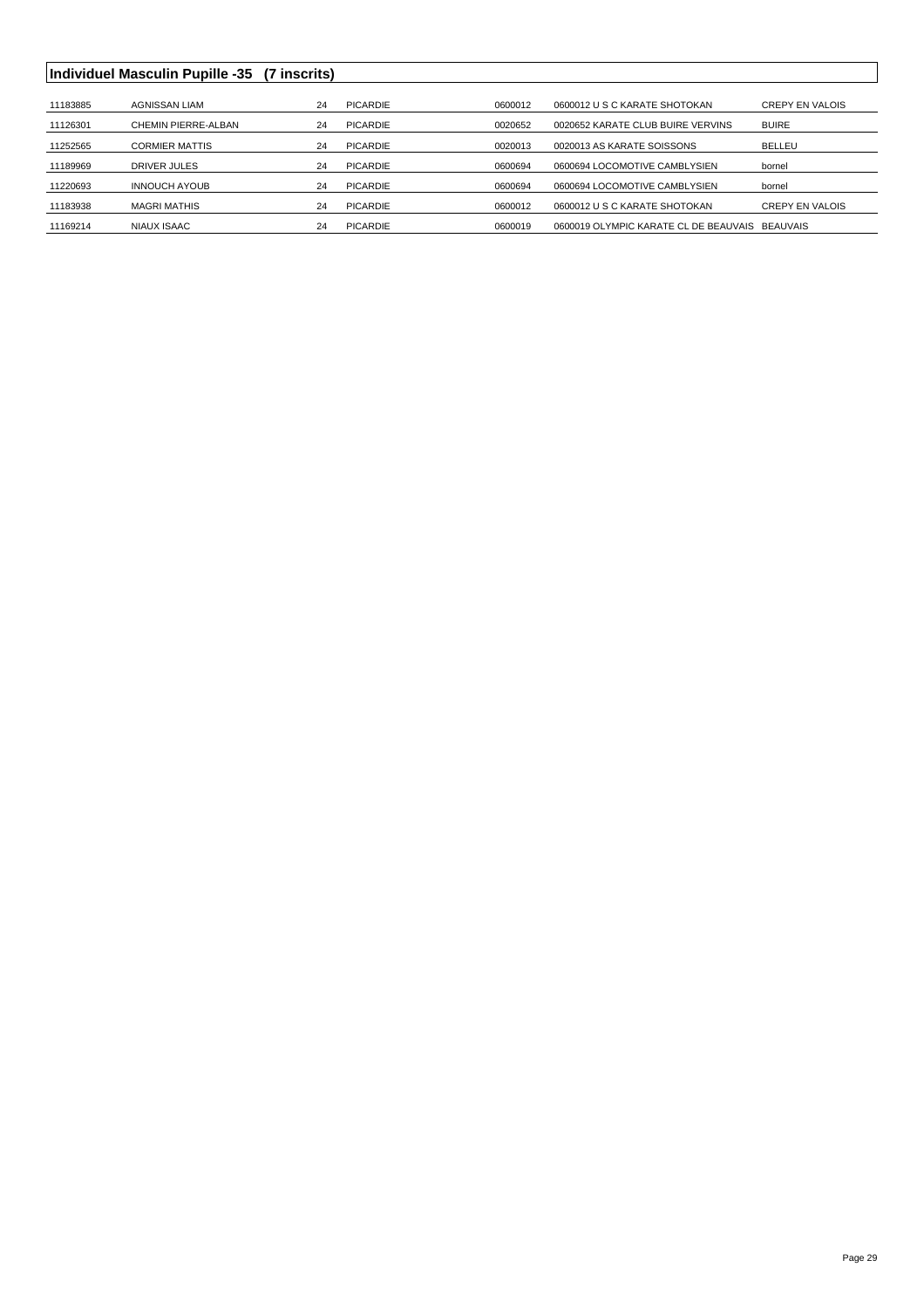## **Individuel Masculin Pupille -35 (7 inscrits)**

| 11183885 | AGNISSAN LIAM         | 24 | PICARDIE | 0600012 | 0600012 U S C KARATE SHOTOKAN                  | <b>CREPY EN VALOIS</b> |
|----------|-----------------------|----|----------|---------|------------------------------------------------|------------------------|
| 11126301 | CHEMIN PIERRE-ALBAN   | 24 | PICARDIE | 0020652 | 0020652 KARATE CLUB BUIRE VERVINS              | <b>BUIRE</b>           |
| 11252565 | <b>CORMIER MATTIS</b> | 24 | PICARDIE | 0020013 | 0020013 AS KARATE SOISSONS                     | BELLEU                 |
| 11189969 | DRIVER JULES          | 24 | PICARDIE | 0600694 | 0600694 LOCOMOTIVE CAMBLYSIEN                  | bornel                 |
| 11220693 | <b>INNOUCH AYOUB</b>  | 24 | PICARDIE | 0600694 | 0600694 LOCOMOTIVE CAMBLYSIEN                  | bornel                 |
| 11183938 | <b>MAGRI MATHIS</b>   | 24 | PICARDIE | 0600012 | 0600012 U S C KARATE SHOTOKAN                  | <b>CREPY EN VALOIS</b> |
| 11169214 | NIAUX ISAAC           | 24 | PICARDIE | 0600019 | 0600019 OLYMPIC KARATE CL DE BEAUVAIS BEAUVAIS |                        |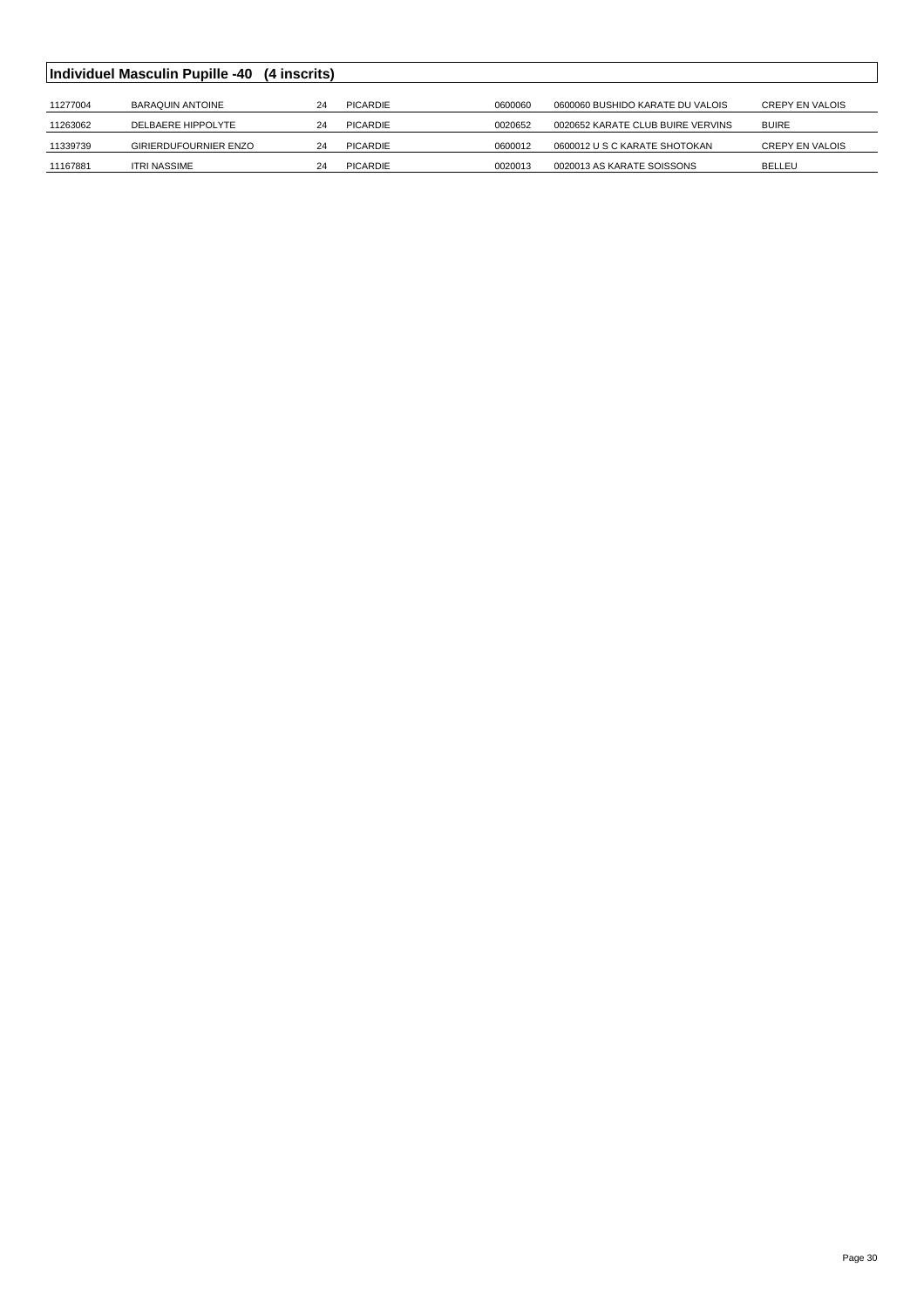|          | <b>Individuel Masculin Pupille -40</b> | (4 inscrits) |          |         |                                   |                 |
|----------|----------------------------------------|--------------|----------|---------|-----------------------------------|-----------------|
|          |                                        |              |          |         |                                   |                 |
| 11277004 | <b>BARAQUIN ANTOINE</b>                | 24           | PICARDIE | 0600060 | 0600060 BUSHIDO KARATE DU VALOIS  | CREPY EN VALOIS |
| 11263062 | DELBAERE HIPPOLYTE                     | 24           | PICARDIE | 0020652 | 0020652 KARATE CLUB BUIRE VERVINS | <b>BUIRE</b>    |
| 11339739 | GIRIERDUFOURNIER ENZO                  | 24           | PICARDIE | 0600012 | 0600012 U S C KARATE SHOTOKAN     | CREPY EN VALOIS |
| 11167881 | <b>ITRI NASSIME</b>                    | 24           | PICARDIE | 0020013 | 0020013 AS KARATE SOISSONS        | <b>BELLEU</b>   |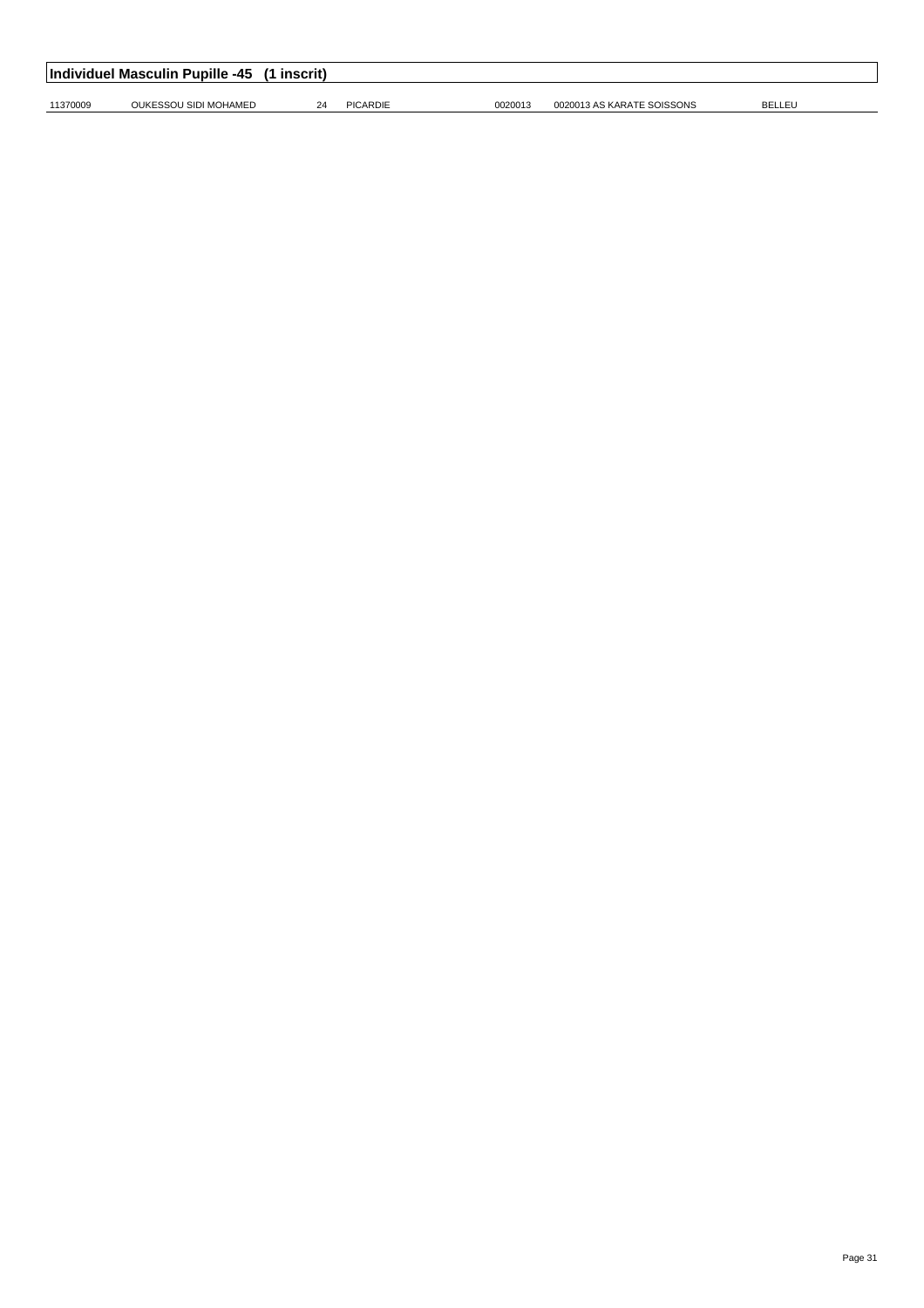| Individuel Masculin Pupille -45<br>(1 inscrit) |                       |    |          |         |                            |                |  |  |  |
|------------------------------------------------|-----------------------|----|----------|---------|----------------------------|----------------|--|--|--|
| 11370009                                       | OUKESSOU SIDI MOHAMED | 24 | PICARDIE | 0020013 | 0020013 AS KARATE SOISSONS | <b>BELLEL'</b> |  |  |  |